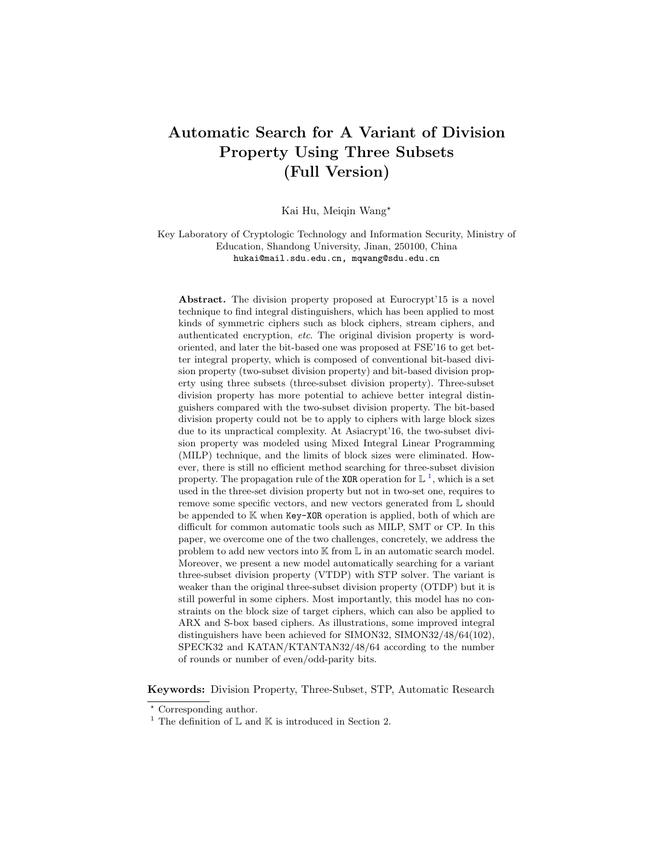# Automatic Search for A Variant of Division Property Using Three Subsets (Full Version)

Kai Hu, Meiqin Wang?

Key Laboratory of Cryptologic Technology and Information Security, Ministry of Education, Shandong University, Jinan, 250100, China hukai@mail.sdu.edu.cn, mqwang@sdu.edu.cn

Abstract. The division property proposed at Eurocrypt'15 is a novel technique to find integral distinguishers, which has been applied to most kinds of symmetric ciphers such as block ciphers, stream ciphers, and authenticated encryption, etc. The original division property is wordoriented, and later the bit-based one was proposed at FSE'16 to get better integral property, which is composed of conventional bit-based division property (two-subset division property) and bit-based division property using three subsets (three-subset division property). Three-subset division property has more potential to achieve better integral distinguishers compared with the two-subset division property. The bit-based division property could not be to apply to ciphers with large block sizes due to its unpractical complexity. At Asiacrypt'16, the two-subset division property was modeled using Mixed Integral Linear Programming (MILP) technique, and the limits of block sizes were eliminated. However, there is still no efficient method searching for three-subset division property. The propagation rule of the XOR operation for  $\mathbb{L}^1$  $\mathbb{L}^1$ , which is a set used in the three-set division property but not in two-set one, requires to remove some specific vectors, and new vectors generated from L should be appended to K when Key-XOR operation is applied, both of which are difficult for common automatic tools such as MILP, SMT or CP. In this paper, we overcome one of the two challenges, concretely, we address the problem to add new vectors into K from L in an automatic search model. Moreover, we present a new model automatically searching for a variant three-subset division property (VTDP) with STP solver. The variant is weaker than the original three-subset division property (OTDP) but it is still powerful in some ciphers. Most importantly, this model has no constraints on the block size of target ciphers, which can also be applied to ARX and S-box based ciphers. As illustrations, some improved integral distinguishers have been achieved for SIMON32, SIMON32/48/64(102), SPECK32 and KATAN/KTANTAN32/48/64 according to the number of rounds or number of even/odd-parity bits.

Keywords: Division Property, Three-Subset, STP, Automatic Research

<sup>?</sup> Corresponding author.

<span id="page-0-0"></span><sup>&</sup>lt;sup>1</sup> The definition of  $\mathbb L$  and  $\mathbb K$  is introduced in Section 2.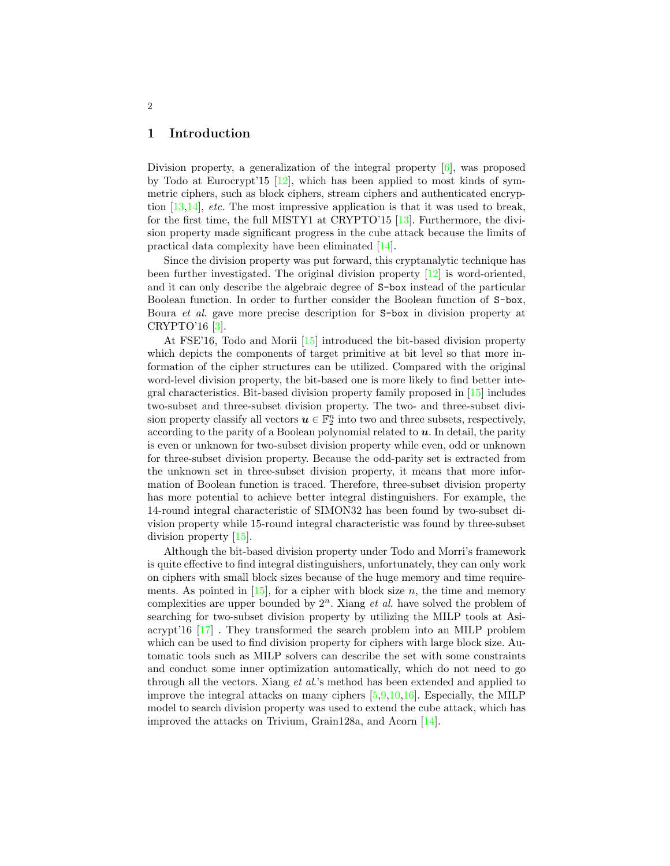### 1 Introduction

Division property, a generalization of the integral property [\[6\]](#page-20-0), was proposed by Todo at Eurocrypt'15 [\[12\]](#page-20-1), which has been applied to most kinds of symmetric ciphers, such as block ciphers, stream ciphers and authenticated encryption  $[13,14]$  $[13,14]$ , *etc.* The most impressive application is that it was used to break, for the first time, the full MISTY1 at CRYPTO'15 [\[13\]](#page-20-2). Furthermore, the division property made significant progress in the cube attack because the limits of practical data complexity have been eliminated [\[14\]](#page-20-3).

Since the division property was put forward, this cryptanalytic technique has been further investigated. The original division property  $[12]$  is word-oriented, and it can only describe the algebraic degree of S-box instead of the particular Boolean function. In order to further consider the Boolean function of S-box, Boura et al. gave more precise description for S-box in division property at CRYPTO'16 [\[3\]](#page-19-0).

At FSE'16, Todo and Morii [\[15\]](#page-20-4) introduced the bit-based division property which depicts the components of target primitive at bit level so that more information of the cipher structures can be utilized. Compared with the original word-level division property, the bit-based one is more likely to find better integral characteristics. Bit-based division property family proposed in [\[15\]](#page-20-4) includes two-subset and three-subset division property. The two- and three-subset division property classify all vectors  $u \in \mathbb{F}_2^n$  into two and three subsets, respectively, according to the parity of a Boolean polynomial related to  $\boldsymbol{u}$ . In detail, the parity is even or unknown for two-subset division property while even, odd or unknown for three-subset division property. Because the odd-parity set is extracted from the unknown set in three-subset division property, it means that more information of Boolean function is traced. Therefore, three-subset division property has more potential to achieve better integral distinguishers. For example, the 14-round integral characteristic of SIMON32 has been found by two-subset division property while 15-round integral characteristic was found by three-subset division property [\[15\]](#page-20-4).

Although the bit-based division property under Todo and Morri's framework is quite effective to find integral distinguishers, unfortunately, they can only work on ciphers with small block sizes because of the huge memory and time requirements. As pointed in  $[15]$ , for a cipher with block size n, the time and memory complexities are upper bounded by  $2^n$ . Xiang *et al.* have solved the problem of searching for two-subset division property by utilizing the MILP tools at Asiacrypt'16 [\[17\]](#page-20-5) . They transformed the search problem into an MILP problem which can be used to find division property for ciphers with large block size. Automatic tools such as MILP solvers can describe the set with some constraints and conduct some inner optimization automatically, which do not need to go through all the vectors. Xiang et al.'s method has been extended and applied to improve the integral attacks on many ciphers [\[5](#page-19-1)[,9,](#page-20-6)[10,](#page-20-7)[16\]](#page-20-8). Especially, the MILP model to search division property was used to extend the cube attack, which has improved the attacks on Trivium, Grain128a, and Acorn [\[14\]](#page-20-3).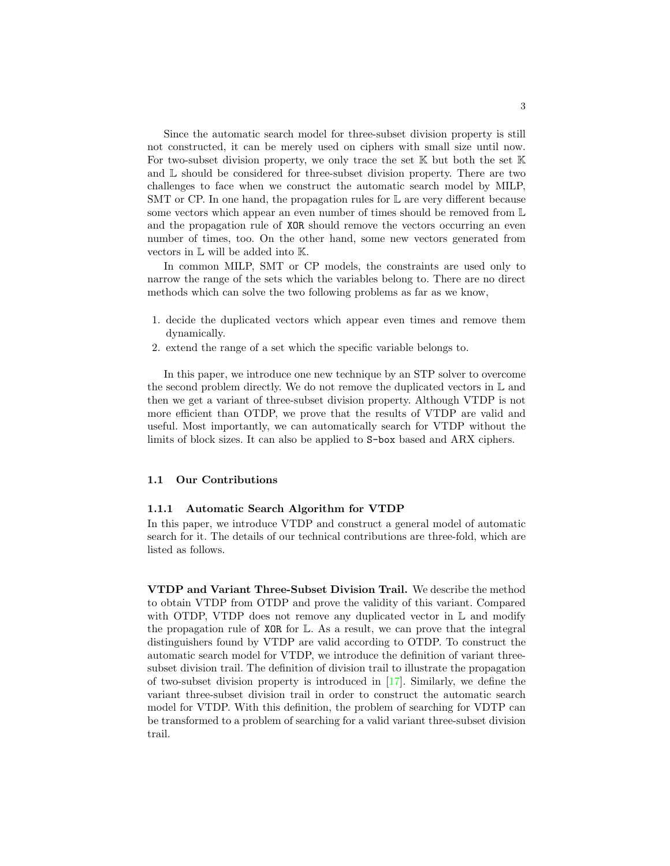Since the automatic search model for three-subset division property is still not constructed, it can be merely used on ciphers with small size until now. For two-subset division property, we only trace the set  $\mathbb K$  but both the set  $\mathbb K$ and L should be considered for three-subset division property. There are two challenges to face when we construct the automatic search model by MILP, SMT or CP. In one hand, the propagation rules for  $\mathbb L$  are very different because some vectors which appear an even number of times should be removed from  $\mathbb L$ and the propagation rule of XOR should remove the vectors occurring an even number of times, too. On the other hand, some new vectors generated from vectors in L will be added into K.

In common MILP, SMT or CP models, the constraints are used only to narrow the range of the sets which the variables belong to. There are no direct methods which can solve the two following problems as far as we know,

- 1. decide the duplicated vectors which appear even times and remove them dynamically.
- 2. extend the range of a set which the specific variable belongs to.

In this paper, we introduce one new technique by an STP solver to overcome the second problem directly. We do not remove the duplicated vectors in  $\mathbb L$  and then we get a variant of three-subset division property. Although VTDP is not more efficient than OTDP, we prove that the results of VTDP are valid and useful. Most importantly, we can automatically search for VTDP without the limits of block sizes. It can also be applied to S-box based and ARX ciphers.

#### 1.1 Our Contributions

#### 1.1.1 Automatic Search Algorithm for VTDP

In this paper, we introduce VTDP and construct a general model of automatic search for it. The details of our technical contributions are three-fold, which are listed as follows.

VTDP and Variant Three-Subset Division Trail. We describe the method to obtain VTDP from OTDP and prove the validity of this variant. Compared with OTDP, VTDP does not remove any duplicated vector in  $\mathbb L$  and modify the propagation rule of  $XOR$  for  $\mathbb{L}$ . As a result, we can prove that the integral distinguishers found by VTDP are valid according to OTDP. To construct the automatic search model for VTDP, we introduce the definition of variant threesubset division trail. The definition of division trail to illustrate the propagation of two-subset division property is introduced in [\[17\]](#page-20-5). Similarly, we define the variant three-subset division trail in order to construct the automatic search model for VTDP. With this definition, the problem of searching for VDTP can be transformed to a problem of searching for a valid variant three-subset division trail.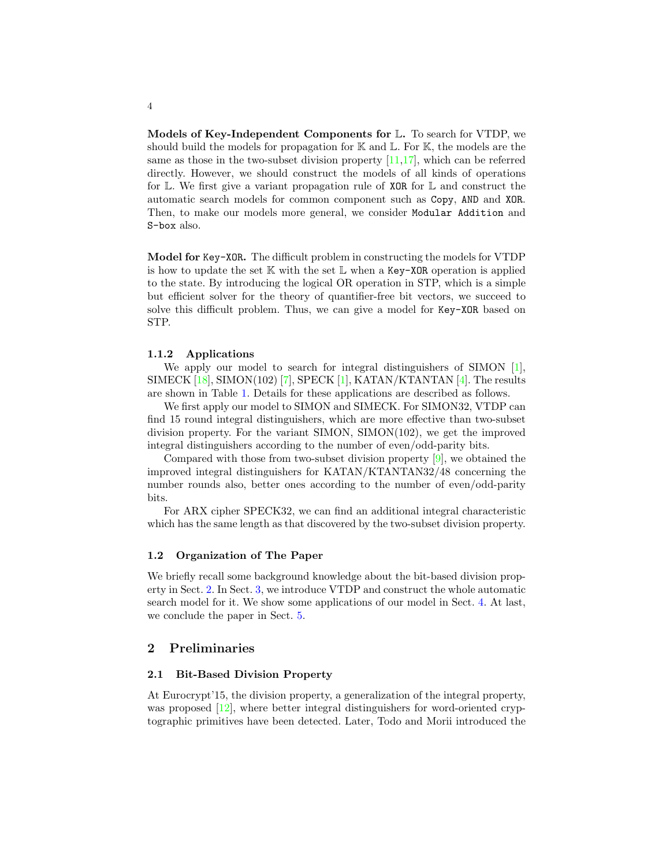Models of Key-Independent Components for L. To search for VTDP, we should build the models for propagation for  $\mathbb K$  and  $\mathbb L$ . For  $\mathbb K$ , the models are the same as those in the two-subset division property [\[11,](#page-20-9)[17\]](#page-20-5), which can be referred directly. However, we should construct the models of all kinds of operations for L. We first give a variant propagation rule of XOR for L and construct the automatic search models for common component such as Copy, AND and XOR. Then, to make our models more general, we consider Modular Addition and S-box also.

Model for Key-XOR. The difficult problem in constructing the models for VTDP is how to update the set  $K$  with the set  $L$  when a Key-XOR operation is applied to the state. By introducing the logical OR operation in STP, which is a simple but efficient solver for the theory of quantifier-free bit vectors, we succeed to solve this difficult problem. Thus, we can give a model for Key-XOR based on STP.

#### 1.1.2 Applications

We apply our model to search for integral distinguishers of SIMON [\[1\]](#page-19-2), SIMECK  $[18]$ , SIMON(102) [\[7\]](#page-20-11), SPECK  $[1]$ , KATAN/KTANTAN  $[4]$ . The results are shown in Table [1.](#page-4-0) Details for these applications are described as follows.

We first apply our model to SIMON and SIMECK. For SIMON32, VTDP can find 15 round integral distinguishers, which are more effective than two-subset division property. For the variant SIMON, SIMON(102), we get the improved integral distinguishers according to the number of even/odd-parity bits.

Compared with those from two-subset division property [\[9\]](#page-20-6), we obtained the improved integral distinguishers for KATAN/KTANTAN32/48 concerning the number rounds also, better ones according to the number of even/odd-parity bits.

For ARX cipher SPECK32, we can find an additional integral characteristic which has the same length as that discovered by the two-subset division property.

#### 1.2 Organization of The Paper

We briefly recall some background knowledge about the bit-based division property in Sect. [2.](#page-3-0) In Sect. [3,](#page-9-0) we introduce VTDP and construct the whole automatic search model for it. We show some applications of our model in Sect. [4.](#page-16-0) At last, we conclude the paper in Sect. [5.](#page-19-4)

## <span id="page-3-0"></span>2 Preliminaries

#### <span id="page-3-1"></span>2.1 Bit-Based Division Property

At Eurocrypt'15, the division property, a generalization of the integral property, was proposed [\[12\]](#page-20-1), where better integral distinguishers for word-oriented cryptographic primitives have been detected. Later, Todo and Morii introduced the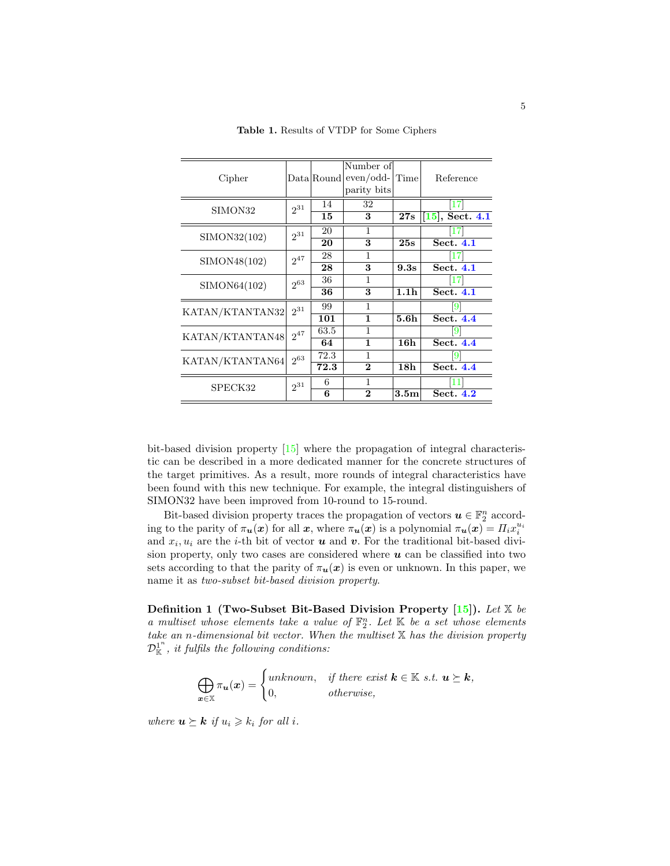| Cipher          |          |          | Number of<br>$Data   Round   even / odd-$<br>parity bits | Time             | Reference                |
|-----------------|----------|----------|----------------------------------------------------------|------------------|--------------------------|
| SIMON32         | $2^{31}$ | 14<br>15 | 32<br>3                                                  | 27s              | 17<br>$[15]$ , Sect. 4.1 |
| SIMON32(102)    | $2^{31}$ | 20       | 1                                                        |                  | 171                      |
|                 |          | 20       | 3                                                        | 25s              | Sect. 4.1                |
| SIMON48(102)    | $2^{47}$ | 28       | 1                                                        |                  | [17]                     |
|                 |          | 28       | 3                                                        | 9.3s             | Sect. 4.1                |
| SIMON64(102)    | $2^{63}$ | 36       | 1                                                        |                  | 17                       |
|                 |          | 36       | 3                                                        | 1.1 <sub>h</sub> | Sect. 4.1                |
| KATAN/KTANTAN32 | $2^{31}$ | 99       |                                                          |                  | 9                        |
|                 |          | 101<br>1 |                                                          | 5.6 <sub>h</sub> | Sect. 4.4                |
| KATAN/KTANTAN48 | $2^{47}$ | 63.5     | 1                                                        |                  | 19                       |
|                 |          | 64       | $\mathbf{1}$                                             | 16h              | Sect. 4.4                |
| KATAN/KTANTAN64 | $2^{63}$ | 72.3     | 1                                                        |                  | 191                      |
|                 |          | 72.3     | $\bf{2}$                                                 | 18 <sub>h</sub>  | Sect. 4.4                |
| SPECK32         | $2^{31}$ | 6        | 1                                                        |                  |                          |
|                 |          | 6        | $\bf{2}$                                                 | 3.5m             | Sect. 4.2                |

<span id="page-4-0"></span>Table 1. Results of VTDP for Some Ciphers

bit-based division property [\[15\]](#page-20-4) where the propagation of integral characteristic can be described in a more dedicated manner for the concrete structures of the target primitives. As a result, more rounds of integral characteristics have been found with this new technique. For example, the integral distinguishers of SIMON32 have been improved from 10-round to 15-round.

Bit-based division property traces the propagation of vectors  $\boldsymbol{u} \in \mathbb{F}_2^n$  according to the parity of  $\pi_u(x)$  for all x, where  $\pi_u(x)$  is a polynomial  $\pi_u(x) = \prod_i x_i^{u_i}$ and  $x_i, u_i$  are the *i*-th bit of vector **u** and **v**. For the traditional bit-based division property, only two cases are considered where  $u$  can be classified into two sets according to that the parity of  $\pi_u(x)$  is even or unknown. In this paper, we name it as two-subset bit-based division property.

Definition 1 (Two-Subset Bit-Based Division Property  $[15]$ ). Let X be a multiset whose elements take a value of  $\mathbb{F}_2^n$ . Let  $\mathbb{K}$  be a set whose elements take an n-dimensional bit vector. When the multiset  $X$  has the division property  ${\mathcal D}_\mathbb K^1$ , it fulfils the following conditions:

> M x∈X  $\pi_{\boldsymbol{u}}(\boldsymbol{x}) = \begin{cases} \text{unknown}, & \text{if there exist } \boldsymbol{k} \in \mathbb{K} \text{ s.t. } \boldsymbol{u} \succeq \boldsymbol{k}, \\ 0 & \text{if } \boldsymbol{u} \leq \boldsymbol{u} \end{cases}$ 0, otherwise,

where  $\mathbf{u} \succeq \mathbf{k}$  if  $u_i \geq k_i$  for all i.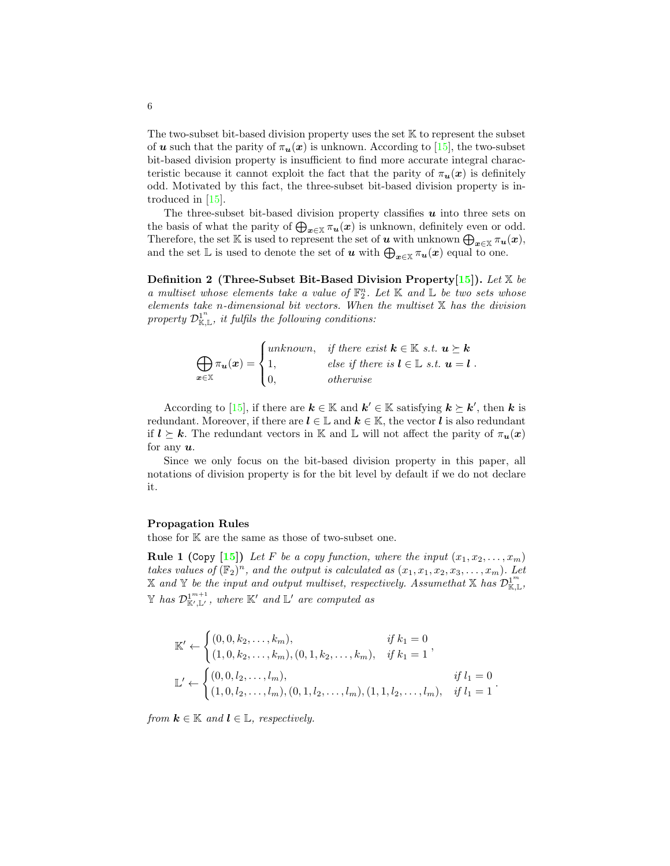The two-subset bit-based division property uses the set  $\mathbb K$  to represent the subset of **u** such that the parity of  $\pi_u(x)$  is unknown. According to [\[15\]](#page-20-4), the two-subset bit-based division property is insufficient to find more accurate integral characteristic because it cannot exploit the fact that the parity of  $\pi_u(x)$  is definitely odd. Motivated by this fact, the three-subset bit-based division property is introduced in [\[15\]](#page-20-4).

The three-subset bit-based division property classifies  $\boldsymbol{u}$  into three sets on the basis of what the parity of  $\bigoplus_{x\in\mathbb{X}} \pi_u(x)$  is unknown, definitely even or odd. Therefore, the set K is used to represent the set of u with unknown  $\bigoplus_{x\in\mathbb{X}}\pi_u(x)$ , and the set  $\mathbb L$  is used to denote the set of u with  $\bigoplus_{x\in\mathbb X}\pi_u(x)$  equal to one.

<span id="page-5-2"></span>**Definition 2** (Three-Subset Bit-Based Division Property [\[15\]](#page-20-4)). Let  $\mathbb{X}$  be a multiset whose elements take a value of  $\mathbb{F}_2^n$ . Let  $\mathbb K$  and  $\mathbb L$  be two sets whose elements take n-dimensional bit vectors. When the multiset  $X$  has the division property  $\mathcal{D}^{1^n}_{\mathbb{K}, \mathbb{L}}$ , it fulfils the following conditions:

$$
\bigoplus_{\mathbf{x}\in\mathbb{X}}\pi_{\mathbf{u}}(\mathbf{x}) = \begin{cases}\nunknown, & if there exist \mathbf{k}\in\mathbb{K} \ s.t. \ \mathbf{u}\succeq \mathbf{k} \\
1, & else if there is \mathbf{l}\in\mathbb{L} \ s.t. \ \mathbf{u} = \mathbf{l} \\
0, & otherwise\n\end{cases}.
$$

According to [\[15\]](#page-20-4), if there are  $k \in \mathbb{K}$  and  $k' \in \mathbb{K}$  satisfying  $k \succeq k'$ , then k is redundant. Moreover, if there are  $l \in \mathbb{L}$  and  $k \in \mathbb{K}$ , the vector l is also redundant if  $l \geq k$ . The redundant vectors in K and L will not affect the parity of  $\pi_u(x)$ for any  $u$ .

Since we only focus on the bit-based division property in this paper, all notations of division property is for the bit level by default if we do not declare it.

#### Propagation Rules

<span id="page-5-0"></span>those for K are the same as those of two-subset one.

**Rule 1 (Copy [\[15\]](#page-20-4))** Let F be a copy function, where the input  $(x_1, x_2, \ldots, x_m)$ takes values of  $(\mathbb{F}_2)^n$ , and the output is calculated as  $(x_1, x_1, x_2, x_3, \ldots, x_m)$ . Let X and Y be the input and output multiset, respectively. Assume that X has  $\mathcal{D}^{1^m}_{\mathbb{K}, \mathbb{L}}$ ,  $\mathbb Y$  has  $\mathcal{D}^{1^{m+1}}_{\mathbb K',\mathbb L'}$ , where  $\mathbb K'$  and  $\mathbb L'$  are computed as

$$
\mathbb{K}' \leftarrow \begin{cases} (0, 0, k_2, \dots, k_m), & \text{if } k_1 = 0 \\ (1, 0, k_2, \dots, k_m), (0, 1, k_2, \dots, k_m), & \text{if } k_1 = 1 \end{cases},
$$
\n
$$
\mathbb{L}' \leftarrow \begin{cases} (0, 0, l_2, \dots, l_m), & \text{if } l_1 = 0 \\ (1, 0, l_2, \dots, l_m), (0, 1, l_2, \dots, l_m), (1, 1, l_2, \dots, l_m), & \text{if } l_1 = 1 \end{cases}.
$$

<span id="page-5-1"></span>from  $k \in \mathbb{K}$  and  $l \in \mathbb{L}$ , respectively.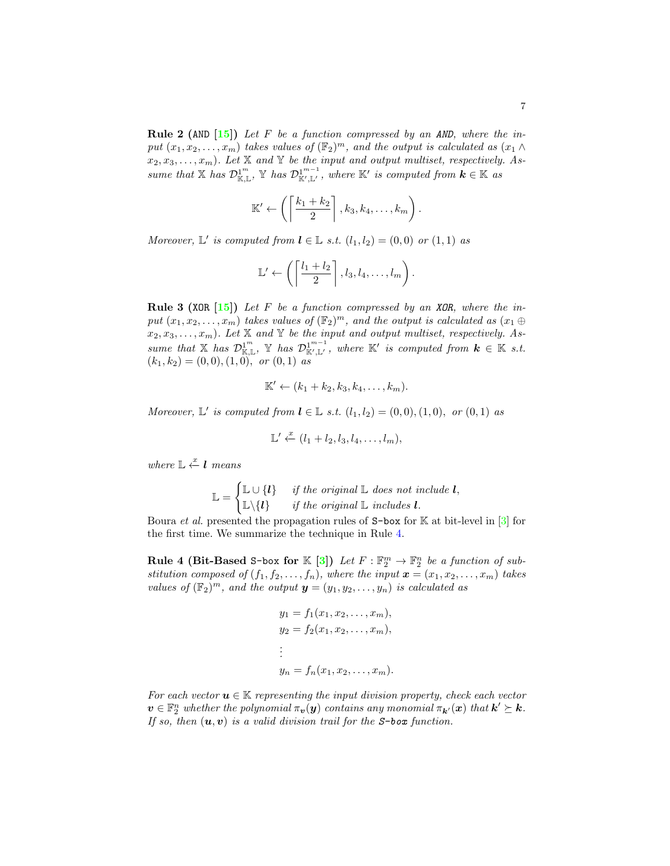**Rule 2 (AND [\[15\]](#page-20-4))** Let F be a function compressed by an AND, where the input  $(x_1, x_2, \ldots, x_m)$  takes values of  $(\mathbb{F}_2)^m$ , and the output is calculated as  $(x_1 \wedge$  $(x_2, x_3, \ldots, x_m)$ . Let X and Y be the input and output multiset, respectively. Assume that  $X$  has  $\mathcal{D}_{\mathbb{K},\mathbb{L}}^{1^m}$ ,  $Y$  has  $\mathcal{D}_{\mathbb{K}',\mathbb{L}'}^{1^{m-1}}$ , where  $\mathbb{K}'$  is computed from  $k \in \mathbb{K}$  as

$$
\mathbb{K}' \leftarrow \left( \left\lceil \frac{k_1 + k_2}{2} \right\rceil, k_3, k_4, \ldots, k_m \right).
$$

Moreover,  $\mathbb{L}'$  is computed from  $\mathbf{l} \in \mathbb{L}$  s.t.  $(l_1, l_2) = (0, 0)$  or  $(1, 1)$  as

$$
\mathbb{L}' \leftarrow \left( \left\lceil \frac{l_1 + l_2}{2} \right\rceil, l_3, l_4, \ldots, l_m \right).
$$

<span id="page-6-1"></span>**Rule 3 (XOR [\[15\]](#page-20-4))** Let F be a function compressed by an XOR, where the input  $(x_1, x_2, \ldots, x_m)$  takes values of  $(\mathbb{F}_2)^m$ , and the output is calculated as  $(x_1 \oplus$  $(x_2, x_3, \ldots, x_m)$ . Let X and Y be the input and output multiset, respectively. Assume that X has  $\mathcal{D}_{\mathbb{K},\mathbb{L}}^{1^m}$ , Y has  $\mathcal{D}_{\mathbb{K}',\mathbb{L}'}^{1^{m-1}}$ , where  $\mathbb{K}'$  is computed from  $k \in \mathbb{K}$  s.t.  $(k_1, k_2) = (0, 0), (1, 0), \text{ or } (0, 1) \text{ as}$ 

$$
\mathbb{K}' \leftarrow (k_1 + k_2, k_3, k_4, \ldots, k_m).
$$

Moreover,  $\mathbb{L}'$  is computed from  $\mathbf{l} \in \mathbb{L}$  s.t.  $(l_1, l_2) = (0, 0), (1, 0), \text{ or } (0, 1)$  as

$$
\mathbb{L}' \stackrel{x}{\leftarrow} (l_1 + l_2, l_3, l_4, \dots, l_m),
$$

where  $\mathbb{L} \stackrel{x}{\leftarrow} \mathbf{l}$  means

$$
\mathbb{L} = \begin{cases} \mathbb{L} \cup \{l\} & \text{if the original } \mathbb{L} \text{ does not include } l, \\ \mathbb{L} \setminus \{l\} & \text{if the original } \mathbb{L} \text{ includes } l. \end{cases}
$$

Boura *et al.* presented the propagation rules of  $S$ -box for K at bit-level in [\[3\]](#page-19-0) for the first time. We summarize the technique in Rule [4.](#page-6-0)

<span id="page-6-0"></span>Rule 4 (Bit-Based S-box for  $\mathbb{K} [3]$  $\mathbb{K} [3]$ ) Let  $F : \mathbb{F}_2^m \to \mathbb{F}_2^n$  be a function of substitution composed of  $(f_1, f_2, \ldots, f_n)$ , where the input  $\boldsymbol{x} = (x_1, x_2, \ldots, x_m)$  takes values of  $(\mathbb{F}_2)^m$ , and the output  $\mathbf{y} = (y_1, y_2, \dots, y_n)$  is calculated as

$$
y_1 = f_1(x_1, x_2, \dots, x_m),
$$
  
\n
$$
y_2 = f_2(x_1, x_2, \dots, x_m),
$$
  
\n
$$
\vdots
$$
  
\n
$$
y_n = f_n(x_1, x_2, \dots, x_m).
$$

For each vector  $u \in \mathbb{K}$  representing the input division property, check each vector  $\bm{v}\in\mathbb{F}_2^n$  whether the polynomial  $\pi_{\bm{v}}(\bm{y})$  contains any monomial  $\pi_{\bm{k}'}(\bm{x})$  that  $\bm{k}'\succeq\bm{k}.$ If so, then  $(\mathbf{u}, \mathbf{v})$  is a valid division trail for the S-box function.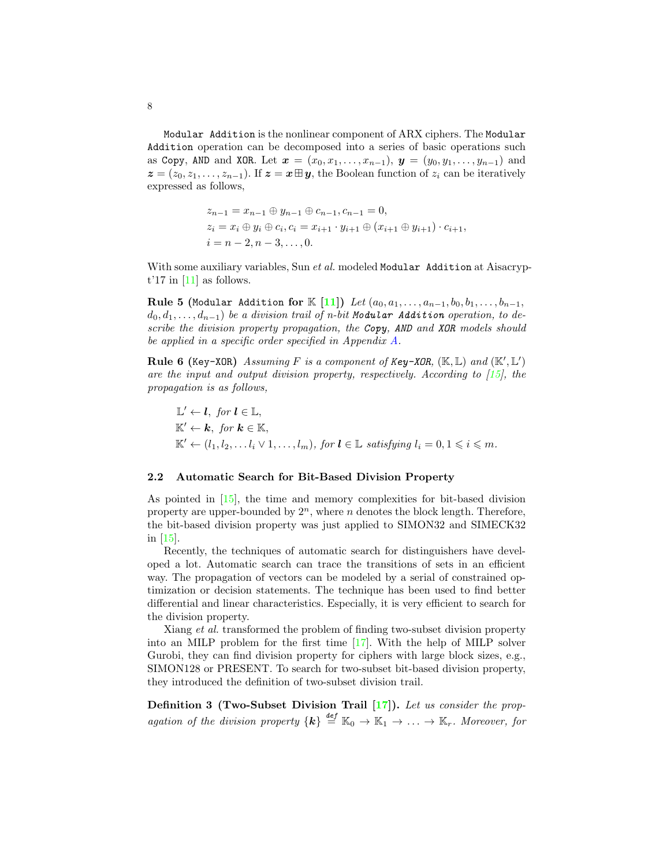Modular Addition is the nonlinear component of ARX ciphers. The Modular Addition operation can be decomposed into a series of basic operations such as Copy, AND and XOR. Let  $x = (x_0, x_1, \ldots, x_{n-1}), y = (y_0, y_1, \ldots, y_{n-1})$  and  $z = (z_0, z_1, \ldots, z_{n-1})$ . If  $z = x \boxplus y$ , the Boolean function of  $z_i$  can be iteratively expressed as follows,

<span id="page-7-0"></span>
$$
z_{n-1} = x_{n-1} \oplus y_{n-1} \oplus c_{n-1}, c_{n-1} = 0,
$$
  
\n
$$
z_i = x_i \oplus y_i \oplus c_i, c_i = x_{i+1} \cdot y_{i+1} \oplus (x_{i+1} \oplus y_{i+1}) \cdot c_{i+1},
$$
  
\n
$$
i = n-2, n-3, ..., 0.
$$

With some auxiliary variables, Sun *et al.* modeled Modular Addition at Aisacrypt'17 in  $[11]$  as follows.

Rule 5 (Modular Addition for K [\[11\]](#page-20-9)) Let  $(a_0, a_1, \ldots, a_{n-1}, b_0, b_1, \ldots, b_{n-1},$  $d_0, d_1, \ldots, d_{n-1}$ ) be a division trail of n-bit Modular Addition operation, to describe the division property propagation, the Copy, AND and XOR models should be applied in a specific order specified in Appendix [A.](#page-21-0)

<span id="page-7-1"></span>Rule 6 (Key-XOR) Assuming F is a component of Key-XOR,  $(\mathbb{K}, \mathbb{L})$  and  $(\mathbb{K}', \mathbb{L}')$ are the input and output division property, respectively. According to [\[15\]](#page-20-4), the propagation is as follows,

$$
\mathbb{L}' \leftarrow l, \text{ for } l \in \mathbb{L},
$$
  
\n
$$
\mathbb{K}' \leftarrow k, \text{ for } k \in \mathbb{K},
$$
  
\n
$$
\mathbb{K}' \leftarrow (l_1, l_2, \dots l_i \vee 1, \dots, l_m), \text{ for } l \in \mathbb{L} \text{ satisfying } l_i = 0, 1 \leq i \leq m.
$$

#### 2.2 Automatic Search for Bit-Based Division Property

As pointed in [\[15\]](#page-20-4), the time and memory complexities for bit-based division property are upper-bounded by  $2^n$ , where n denotes the block length. Therefore, the bit-based division property was just applied to SIMON32 and SIMECK32 in [\[15\]](#page-20-4).

Recently, the techniques of automatic search for distinguishers have developed a lot. Automatic search can trace the transitions of sets in an efficient way. The propagation of vectors can be modeled by a serial of constrained optimization or decision statements. The technique has been used to find better differential and linear characteristics. Especially, it is very efficient to search for the division property.

Xiang et al. transformed the problem of finding two-subset division property into an MILP problem for the first time [\[17\]](#page-20-5). With the help of MILP solver Gurobi, they can find division property for ciphers with large block sizes, e.g., SIMON128 or PRESENT. To search for two-subset bit-based division property, they introduced the definition of two-subset division trail.

Definition 3 (Two-Subset Division Trail [\[17\]](#page-20-5)). Let us consider the propagation of the division property  $\{k\} \stackrel{\text{def}}{=} \mathbb{K}_0 \to \mathbb{K}_1 \to \ldots \to \mathbb{K}_r$ . Moreover, for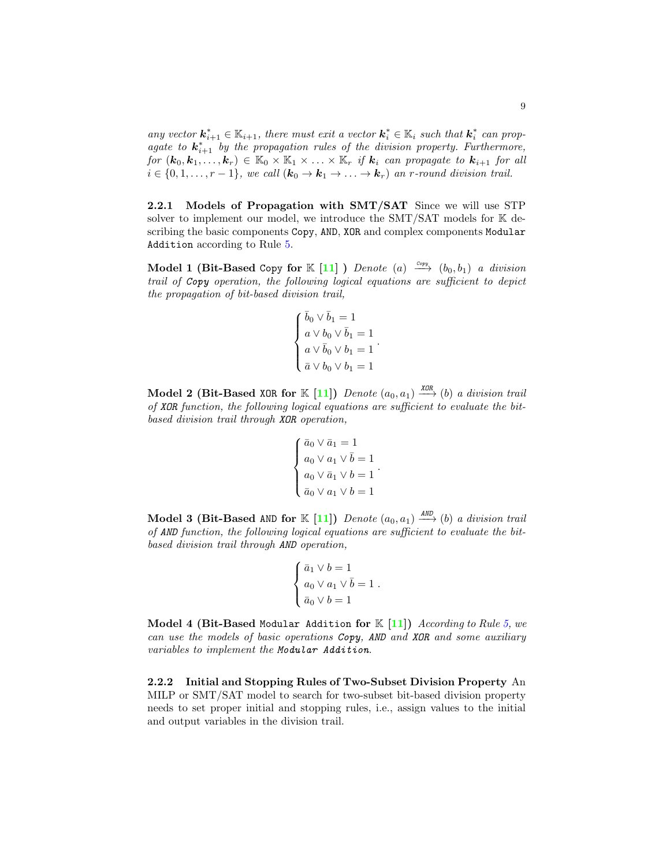any vector  $\mathbf{k}_{i+1}^* \in \mathbb{K}_{i+1}$ , there must exit a vector  $\mathbf{k}_i^* \in \mathbb{K}_i$  such that  $\mathbf{k}_i^*$  can propagate to  $\mathbf{k}_{i+1}^*$  by the propagation rules of the division property. Furthermore, for  $(k_0, k_1, \ldots, k_r) \in \mathbb{K}_0 \times \mathbb{K}_1 \times \ldots \times \mathbb{K}_r$  if  $k_i$  can propagate to  $k_{i+1}$  for all  $i \in \{0, 1, \ldots, r-1\}$ , we call  $(\mathbf{k}_0 \to \mathbf{k}_1 \to \ldots \to \mathbf{k}_r)$  an r-round division trail.

2.2.1 Models of Propagation with SMT/SAT Since we will use STP solver to implement our model, we introduce the  $SMT/SAT$  models for  $K$  describing the basic components Copy, AND, XOR and complex components Modular Addition according to Rule [5.](#page-7-0)

Model 1 (Bit-Based Copy for K [\[11\]](#page-20-9) ) Denote (a)  $\xrightarrow{c_{opp}} (b_0, b_1)$  a division trail of Copy operation, the following logical equations are sufficient to depict the propagation of bit-based division trail,

$$
\left\{ \begin{aligned} &\bar{b}_0\vee \bar{b}_1=1\\ &a\vee b_0\vee \bar{b}_1=1\\ &a\vee \bar{b}_0\vee b_1=1\\ &\bar{a}\vee b_0\vee b_1=1 \end{aligned} \right. .
$$

Model 2 (Bit-Based XOR for K [\[11\]](#page-20-9)) Denote  $(a_0, a_1) \stackrel{\text{XOR}}{\longrightarrow} (b)$  a division trail of XOR function, the following logical equations are sufficient to evaluate the bitbased division trail through XOR operation,

$$
\begin{cases} \bar{a}_0 \vee \bar{a}_1 = 1 \\ a_0 \vee a_1 \vee \bar{b} = 1 \\ a_0 \vee \bar{a}_1 \vee b = 1 \\ \bar{a}_0 \vee a_1 \vee b = 1 \end{cases}.
$$

Model 3 (Bit-Based AND for  $\mathbb{K}$  [\[11\]](#page-20-9)) Denote  $(a_0, a_1) \stackrel{\text{AND}}{\longrightarrow} (b)$  a division trail of AND function, the following logical equations are sufficient to evaluate the bitbased division trail through AND operation,

$$
\begin{cases} \bar{a}_1 \vee b = 1 \\ a_0 \vee a_1 \vee \bar{b} = 1 \\ \bar{a}_0 \vee b = 1 \end{cases}
$$

.

Model 4 (Bit-Based Modular Addition for  $K$  [\[11\]](#page-20-9)) According to Rule [5,](#page-7-0) we can use the models of basic operations Copy, AND and XOR and some auxiliary variables to implement the Modular Addition.

2.2.2 Initial and Stopping Rules of Two-Subset Division Property An MILP or SMT/SAT model to search for two-subset bit-based division property needs to set proper initial and stopping rules, i.e., assign values to the initial and output variables in the division trail.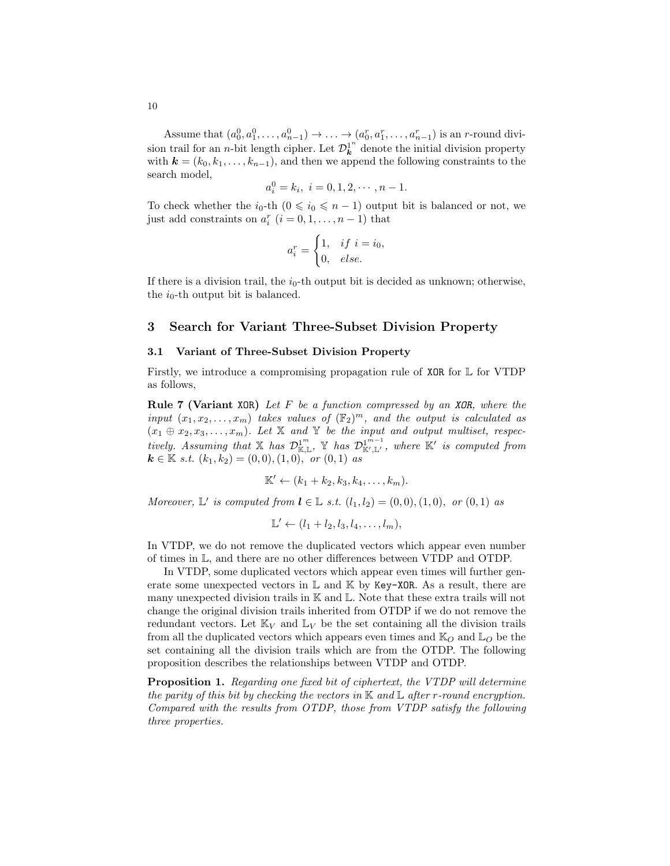Assume that  $(a_0^0, a_1^0, \ldots, a_{n-1}^0) \to \ldots \to (a_0^r, a_1^r, \ldots, a_{n-1}^r)$  is an *r*-round division trail for an *n*-bit length cipher. Let  $\mathcal{D}_{\mathbf{k}}^{1^n}$  denote the initial division property with  $k = (k_0, k_1, \ldots, k_{n-1})$ , and then we append the following constraints to the search model,

$$
a_i^0 = k_i, \ i = 0, 1, 2, \cdots, n-1.
$$

To check whether the  $i_0$ -th  $(0 \leq i_0 \leq n-1)$  output bit is balanced or not, we just add constraints on  $a_i^r$   $(i = 0, 1, \ldots, n - 1)$  that

$$
a_i^r = \begin{cases} 1, & if \ i = i_0, \\ 0, & else. \end{cases}
$$

If there is a division trail, the  $i_0$ -th output bit is decided as unknown; otherwise, the  $i_0$ -th output bit is balanced.

### <span id="page-9-0"></span>3 Search for Variant Three-Subset Division Property

#### 3.1 Variant of Three-Subset Division Property

<span id="page-9-2"></span>Firstly, we introduce a compromising propagation rule of XOR for L for VTDP as follows,

**Rule 7 (Variant XOR)** Let  $F$  be a function compressed by an XOR, where the input  $(x_1, x_2, \ldots, x_m)$  takes values of  $(\mathbb{F}_2)^m$ , and the output is calculated as  $(x_1 \oplus x_2, x_3, \ldots, x_m)$ . Let X and Y be the input and output multiset, respectively. Assuming that  $X$  has  $\mathcal{D}_{\mathbb{K},\mathbb{L}}^{1^m}$ ,  $Y$  has  $\mathcal{D}_{\mathbb{K}',\mathbb{L}'}^{1^{m-1}}$ , where  $\mathbb{K}'$  is computed from  $k \in \mathbb{K}$  s.t.  $(k_1, k_2) = (0, 0), (1, 0), \text{ or } (0, 1)$  as

$$
\mathbb{K}' \leftarrow (k_1 + k_2, k_3, k_4, \ldots, k_m).
$$

Moreover,  $\mathbb{L}'$  is computed from  $\mathbf{l} \in \mathbb{L}$  s.t.  $(l_1, l_2) = (0, 0), (1, 0), \text{ or } (0, 1)$  as

<span id="page-9-1"></span>
$$
\mathbb{L}' \leftarrow (l_1 + l_2, l_3, l_4, \ldots, l_m),
$$

In VTDP, we do not remove the duplicated vectors which appear even number of times in L, and there are no other differences between VTDP and OTDP.

In VTDP, some duplicated vectors which appear even times will further generate some unexpected vectors in  $\mathbb L$  and  $\mathbb K$  by Key-XOR. As a result, there are many unexpected division trails in  $\mathbb K$  and  $\mathbb L$ . Note that these extra trails will not change the original division trails inherited from OTDP if we do not remove the redundant vectors. Let  $\mathbb{K}_V$  and  $\mathbb{L}_V$  be the set containing all the division trails from all the duplicated vectors which appears even times and  $\mathbb{K}_O$  and  $\mathbb{L}_O$  be the set containing all the division trails which are from the OTDP. The following proposition describes the relationships between VTDP and OTDP.

Proposition 1. Regarding one fixed bit of ciphertext, the VTDP will determine the parity of this bit by checking the vectors in  $\mathbb K$  and  $\mathbb L$  after r-round encryption. Compared with the results from OTDP, those from VTDP satisfy the following three properties.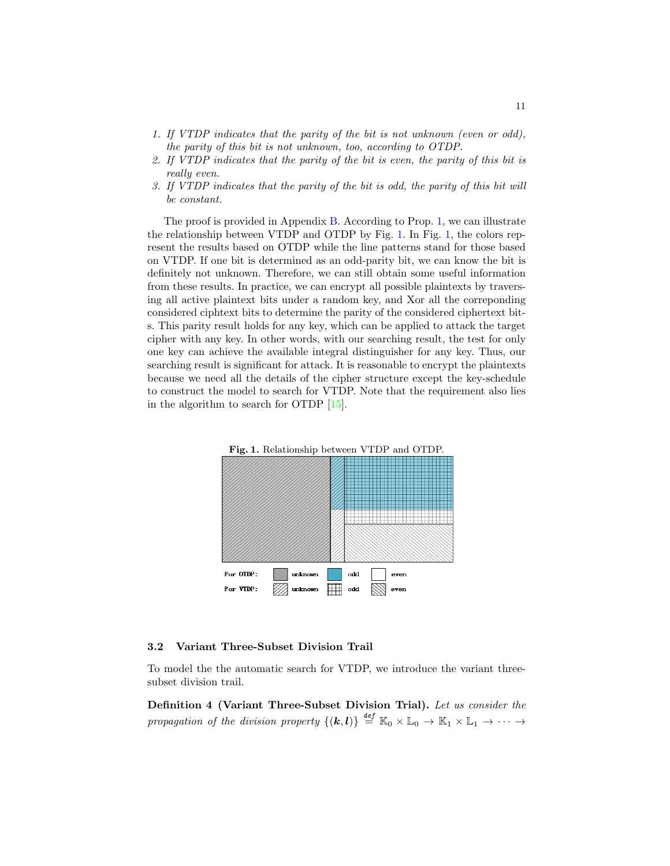- 1. If VTDP indicates that the parity of the bit is not unknown (even or odd), the parity of this bit is not unknown, too, according to OTDP.
- 2. If VTDP indicates that the parity of the bit is even, the parity of this bit is really even.
- 3. If VTDP indicates that the parity of the bit is odd, the parity of this bit will be constant.

The proof is provided in Appendix [B.](#page-21-1) According to Prop. [1,](#page-9-1) we can illustrate the relationship between VTDP and OTDP by Fig. [1.](#page-10-0) In Fig. [1,](#page-10-0) the colors represent the results based on OTDP while the line patterns stand for those based on VTDP. If one bit is determined as an odd-parity bit, we can know the bit is definitely not unknown. Therefore, we can still obtain some useful information from these results. In practice, we can encrypt all possible plaintexts by traversing all active plaintext bits under a random key, and Xor all the correponding considered ciphtext bits to determine the parity of the considered ciphertext bits. This parity result holds for any key, which can be applied to attack the target cipher with any key. In other words, with our searching result, the test for only one key can achieve the available integral distinguisher for any key. Thus, our searching result is significant for attack. It is reasonable to encrypt the plaintexts because we need all the details of the cipher structure except the key-schedule to construct the model to search for VTDP. Note that the requirement also lies in the algorithm to search for OTDP [\[15\]](#page-20-4).

<span id="page-10-0"></span>

#### 3.2 Variant Three-Subset Division Trail

To model the the automatic search for VTDP, we introduce the variant threesubset division trail.

Definition 4 (Variant Three-Subset Division Trial). Let us consider the propagation of the division property  $\{(\mathbf{k},l)\}\stackrel{def}{=}\mathbb{K}_0\times\mathbb{L}_0\to\mathbb{K}_1\times\mathbb{L}_1\to\cdots\to$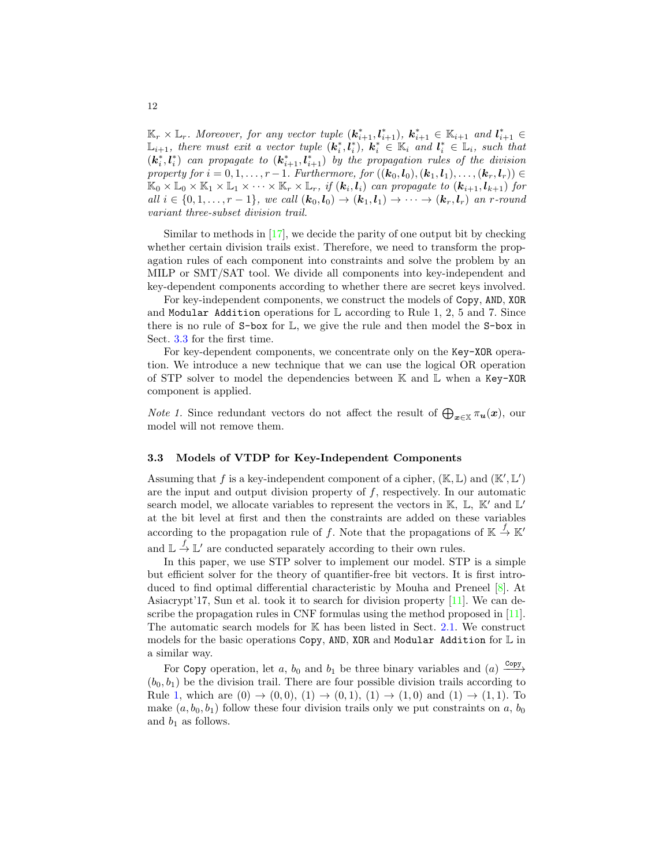$\mathbb{K}_r \times \mathbb{L}_r$ . Moreover, for any vector tuple  $(\mathbf{k}_{i+1}^*, \mathbf{l}_{i+1}^*), \mathbf{k}_{i+1}^* \in \mathbb{K}_{i+1}$  and  $\mathbf{l}_{i+1}^* \in$  $\mathbb{L}_{i+1}$ , there must exit a vector tuple  $(\mathbf{k}_i^*, \mathbf{l}_i^*)$ ,  $\mathbf{k}_i^* \in \mathbb{K}_i$  and  $\mathbf{l}_i^* \in \mathbb{L}_i$ , such that  $(k_i^*, l_i^*)$  can propagate to  $(k_{i+1}^*, l_{i+1}^*)$  by the propagation rules of the division property for  $i = 0, 1, \ldots, r - 1$ . Furthermore, for  $((\mathbf{k}_0, \mathbf{l}_0), (\mathbf{k}_1, \mathbf{l}_1), \ldots, (\mathbf{k}_r, \mathbf{l}_r)) \in$  $\mathbb{K}_0 \times \mathbb{L}_0 \times \mathbb{K}_1 \times \mathbb{L}_1 \times \cdots \times \mathbb{K}_r \times \mathbb{L}_r$ , if  $(\mathbf{k}_i, \mathbf{l}_i)$  can propagate to  $(\mathbf{k}_{i+1}, \mathbf{l}_{k+1})$  for all  $i \in \{0, 1, \ldots, r-1\}$ , we call  $(\mathbf{k}_0, \mathbf{l}_0) \to (\mathbf{k}_1, \mathbf{l}_1) \to \cdots \to (\mathbf{k}_r, \mathbf{l}_r)$  an r-round variant three-subset division trail.

Similar to methods in [\[17\]](#page-20-5), we decide the parity of one output bit by checking whether certain division trails exist. Therefore, we need to transform the propagation rules of each component into constraints and solve the problem by an MILP or SMT/SAT tool. We divide all components into key-independent and key-dependent components according to whether there are secret keys involved.

For key-independent components, we construct the models of Copy, AND, XOR and Modular Addition operations for  $\mathbb L$  according to Rule 1, 2, 5 and 7. Since there is no rule of  $S$ -box for  $\mathbb{L}$ , we give the rule and then model the  $S$ -box in Sect. [3.3](#page-11-0) for the first time.

For key-dependent components, we concentrate only on the Key-XOR operation. We introduce a new technique that we can use the logical OR operation of STP solver to model the dependencies between K and L when a Key-XOR component is applied.

*Note 1*. Since redundant vectors do not affect the result of  $\bigoplus_{x\in\mathbb{X}} \pi_u(x)$ , our model will not remove them.

#### <span id="page-11-0"></span>3.3 Models of VTDP for Key-Independent Components

Assuming that f is a key-independent component of a cipher,  $(\mathbb{K}, \mathbb{L})$  and  $(\mathbb{K}', \mathbb{L}')$ are the input and output division property of  $f$ , respectively. In our automatic search model, we allocate variables to represent the vectors in  $K$ ,  $\mathbb{L}$ ,  $\mathbb{K}'$  and  $\mathbb{L}'$ at the bit level at first and then the constraints are added on these variables according to the propagation rule of f. Note that the propagations of  $\mathbb{K} \stackrel{f}{\to} \mathbb{K}'$ and  $\mathbb{L} \stackrel{f}{\to} \mathbb{L}'$  are conducted separately according to their own rules.

In this paper, we use STP solver to implement our model. STP is a simple but efficient solver for the theory of quantifier-free bit vectors. It is first introduced to find optimal differential characteristic by Mouha and Preneel [\[8\]](#page-20-12). At Asiacrypt'17, Sun et al. took it to search for division property  $[11]$ . We can describe the propagation rules in CNF formulas using the method proposed in [\[11\]](#page-20-9). The automatic search models for K has been listed in Sect. [2.1.](#page-3-1) We construct models for the basic operations Copy, AND, XOR and Modular Addition for  $\mathbb L$  in a similar way.

For Copy operation, let a,  $b_0$  and  $b_1$  be three binary variables and  $(a) \xrightarrow{Copy}$  $(b_0, b_1)$  be the division trail. There are four possible division trails according to Rule [1,](#page-5-0) which are  $(0) \to (0,0), (1) \to (0,1), (1) \to (1,0)$  and  $(1) \to (1,1)$ . To make  $(a, b_0, b_1)$  follow these four division trails only we put constraints on a,  $b_0$ and  $b_1$  as follows.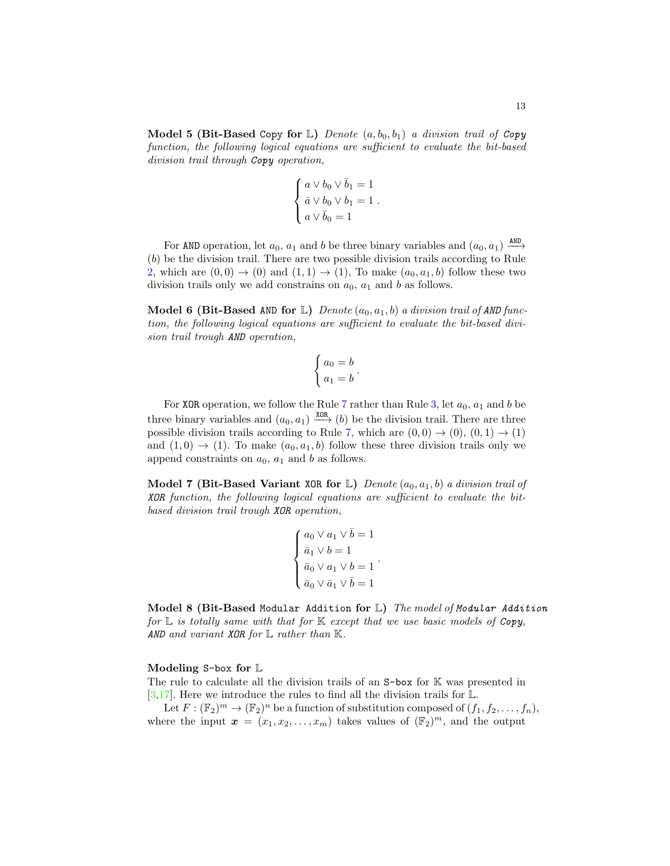**Model 5 (Bit-Based Copy for L)** Denote  $(a, b_0, b_1)$  a division trail of Copy function, the following logical equations are sufficient to evaluate the bit-based division trail through Copy operation,

$$
\left\{ \begin{aligned} a \vee b_0 \vee \bar{b}_1 &= 1 \\ \bar{a} \vee b_0 \vee b_1 &= 1 \\ a \vee \bar{b}_0 &= 1 \end{aligned} \right.
$$

.

For AND operation, let  $a_0$ ,  $a_1$  and b be three binary variables and  $(a_0, a_1) \stackrel{\text{AND}}{\longrightarrow}$ (b) be the division trail. There are two possible division trails according to Rule [2,](#page-5-1) which are  $(0,0) \rightarrow (0)$  and  $(1,1) \rightarrow (1)$ , To make  $(a_0, a_1, b)$  follow these two division trails only we add constrains on  $a_0$ ,  $a_1$  and b as follows.

**Model 6 (Bit-Based AND for L)** Denote  $(a_0, a_1, b)$  a division trail of AND function, the following logical equations are sufficient to evaluate the bit-based division trail trough AND operation,

$$
\begin{cases} a_0 = b \\ a_1 = b \end{cases}.
$$

For XOR operation, we follow the Rule [7](#page-9-2) rather than Rule [3,](#page-6-1) let  $a_0$ ,  $a_1$  and b be three binary variables and  $(a_0, a_1) \xrightarrow{\text{XOR}} (b)$  be the division trail. There are three possible division trails according to Rule [7,](#page-9-2) which are  $(0, 0) \rightarrow (0), (0, 1) \rightarrow (1)$ and  $(1,0) \rightarrow (1)$ . To make  $(a_0, a_1, b)$  follow these three division trails only we append constraints on  $a_0$ ,  $a_1$  and b as follows.

**Model 7 (Bit-Based Variant XOR for L)** Denote  $(a_0, a_1, b)$  a division trail of XOR function, the following logical equations are sufficient to evaluate the bitbased division trail trough XOR operation,

$$
\left\{ \begin{aligned} & a_0 \vee a_1 \vee \bar{b} = 1 \\ & \bar{a}_1 \vee b = 1 \\ & \bar{a}_0 \vee a_1 \vee b = 1 \\ & \bar{a}_0 \vee \bar{a}_1 \vee \bar{b} = 1 \end{aligned} \right. .
$$

Model 8 (Bit-Based Modular Addition for  $L$ ) The model of Modular Addition for  $\mathbb L$  is totally same with that for  $\mathbb K$  except that we use basic models of Copy, AND and variant XOR for  $\mathbb L$  rather than  $\mathbb K$ .

#### Modeling S-box for L

The rule to calculate all the division trails of an S-box for K was presented in  $[3,17]$  $[3,17]$ . Here we introduce the rules to find all the division trails for  $\mathbb{L}$ .

Let  $F: (\mathbb{F}_2)^m \to (\mathbb{F}_2)^n$  be a function of substitution composed of  $(f_1, f_2, \ldots, f_n)$ , where the input  $\boldsymbol{x} = (x_1, x_2, \dots, x_m)$  takes values of  $(\mathbb{F}_2)^m$ , and the output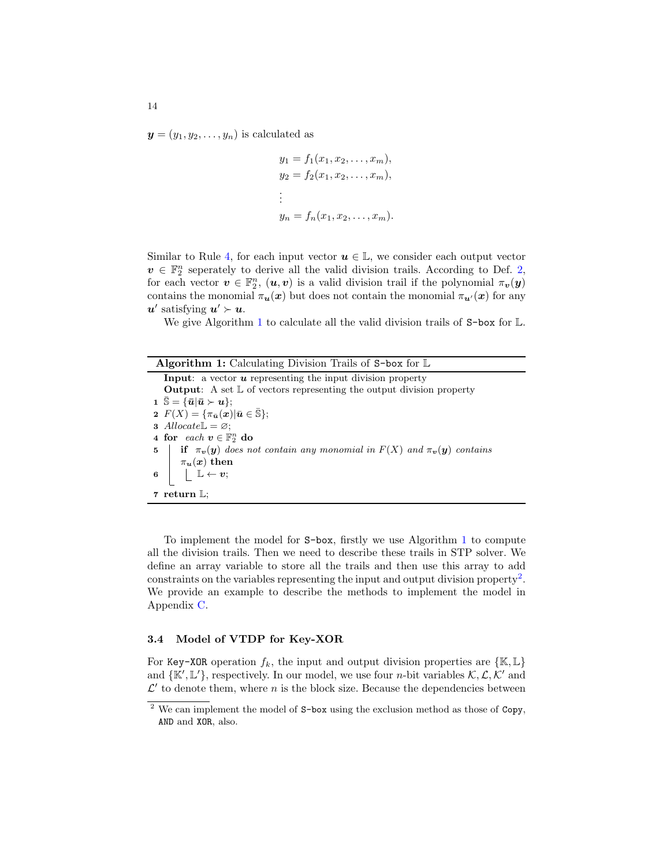$y = (y_1, y_2, \dots, y_n)$  is calculated as

$$
y_1 = f_1(x_1, x_2, \dots, x_m),
$$
  
\n
$$
y_2 = f_2(x_1, x_2, \dots, x_m),
$$
  
\n
$$
\vdots
$$
  
\n
$$
y_n = f_n(x_1, x_2, \dots, x_m).
$$

Similar to Rule [4,](#page-6-0) for each input vector  $u \in \mathbb{L}$ , we consider each output vector  $v \in \mathbb{F}_2^n$  seperately to derive all the valid division trails. According to Def. [2,](#page-5-2) for each vector  $v \in \mathbb{F}_2^n$ ,  $(u, v)$  is a valid division trail if the polynomial  $\pi_v(y)$ contains the monomial  $\pi_u(x)$  but does not contain the monomial  $\pi_{u'}(x)$  for any  $u'$  satisfying  $u' \succ u$ .

We give Algorithm [1](#page-13-0) to calculate all the valid division trails of S-box for  $\mathbb{L}$ .

<span id="page-13-0"></span>

| <b>Algorithm 1:</b> Calculating Division Trails of $S$ -box for $\mathbb{L}$                                                                                                                                                                                       |  |  |
|--------------------------------------------------------------------------------------------------------------------------------------------------------------------------------------------------------------------------------------------------------------------|--|--|
| <b>Input:</b> a vector $\boldsymbol{u}$ representing the input division property                                                                                                                                                                                   |  |  |
| <b>Output:</b> A set $\mathbb{L}$ of vectors representing the output division property                                                                                                                                                                             |  |  |
| $1 \mathbb{S} = {\overline{u}   \overline{u} \succ u};$                                                                                                                                                                                                            |  |  |
| 2 $F(X) = {\pi_{\bar{\mathbf{u}}}}(\mathbf{x})   \bar{\mathbf{u}} \in \bar{\mathbb{S}}$ ;                                                                                                                                                                          |  |  |
| 3 Allocate $\mathbb{L} = \varnothing$ ;                                                                                                                                                                                                                            |  |  |
| 4 for each $v \in \mathbb{F}_2^n$ do                                                                                                                                                                                                                               |  |  |
|                                                                                                                                                                                                                                                                    |  |  |
|                                                                                                                                                                                                                                                                    |  |  |
| 5 if $\pi_{\mathbf{v}}(\mathbf{y})$ does not contain any monomial in $F(X)$ and $\pi_{\mathbf{v}}(\mathbf{y})$ contains<br>6 $\left[\begin{array}{c} \pi_{\mathbf{u}}(\mathbf{x}) \text{ then} \\ \downarrow \mathbb{L} \leftarrow \mathbf{v}; \end{array}\right]$ |  |  |
|                                                                                                                                                                                                                                                                    |  |  |
| 7 return $\mathbb{L}$ :                                                                                                                                                                                                                                            |  |  |

To implement the model for S-box, firstly we use Algorithm [1](#page-13-0) to compute all the division trails. Then we need to describe these trails in STP solver. We define an array variable to store all the trails and then use this array to add constraints on the variables representing the input and output division property<sup>[2](#page-13-1)</sup>. We provide an example to describe the methods to implement the model in Appendix [C.](#page-22-0)

## 3.4 Model of VTDP for Key-XOR

For Key-XOR operation  $f_k$ , the input and output division properties are  $\{K, L\}$ and  $\{\mathbb{K}', \mathbb{L}'\}$ , respectively. In our model, we use four *n*-bit variables  $\mathcal{K}, \mathcal{L}, \mathcal{K}'$  and  $\mathcal{L}'$  to denote them, where n is the block size. Because the dependencies between

<span id="page-13-1"></span> $2$  We can implement the model of  $S$ -box using the exclusion method as those of Copy, AND and XOR, also.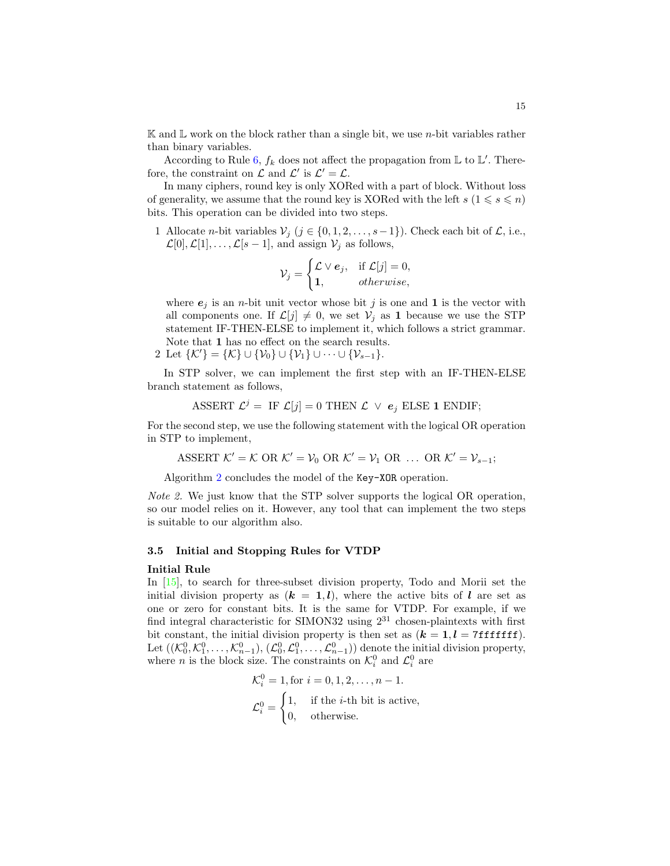$\mathbb K$  and  $\mathbb L$  work on the block rather than a single bit, we use *n*-bit variables rather than binary variables.

According to Rule [6,](#page-7-1)  $f_k$  does not affect the propagation from  $\mathbb L$  to  $\mathbb L'$ . Therefore, the constraint on  $\mathcal L$  and  $\mathcal L'$  is  $\mathcal L' = \mathcal L$ .

In many ciphers, round key is only XORed with a part of block. Without loss of generality, we assume that the round key is XORed with the left  $s (1 \leq s \leq n)$ bits. This operation can be divided into two steps.

1 Allocate *n*-bit variables  $V_j$  ( $j \in \{0, 1, 2, \ldots, s-1\}$ ). Check each bit of  $\mathcal{L}$ , i.e.,  $\mathcal{L}[0], \mathcal{L}[1], \ldots, \mathcal{L}[s-1],$  and assign  $\mathcal{V}_j$  as follows,

$$
\mathcal{V}_j = \begin{cases} \mathcal{L} \vee \mathbf{e}_j, & \text{if } \mathcal{L}[j] = 0, \\ \mathbf{1}, & otherwise, \end{cases}
$$

where  $e_j$  is an *n*-bit unit vector whose bit  $j$  is one and **1** is the vector with all components one. If  $\mathcal{L}[j] \neq 0$ , we set  $\mathcal{V}_j$  as 1 because we use the STP statement IF-THEN-ELSE to implement it, which follows a strict grammar. Note that 1 has no effect on the search results.

2 Let  $\{\mathcal{K}'\} = \{\mathcal{K}\}\cup \{\mathcal{V}_0\}\cup \{\mathcal{V}_1\}\cup \cdots \cup \{\mathcal{V}_{s-1}\}.$ 

In STP solver, we can implement the first step with an IF-THEN-ELSE branch statement as follows,

$$
\text{ASSERT } \mathcal{L}^j = \text{ IF } \mathcal{L}[j] = 0 \text{ THEN } \mathcal{L} \ \lor \ e_j \text{ ELSE 1 ENDIF};
$$

For the second step, we use the following statement with the logical OR operation in STP to implement,

$$
\text{ASSERT }\mathcal{K}'=\mathcal{K}\text{ OR }\mathcal{K}'=\mathcal{V}_0\text{ OR }\mathcal{K}'=\mathcal{V}_1\text{ OR }\ldots\text{ OR }\mathcal{K}'=\mathcal{V}_{s-1};
$$

Algorithm [2](#page-15-0) concludes the model of the Key-XOR operation.

Note 2. We just know that the STP solver supports the logical OR operation, so our model relies on it. However, any tool that can implement the two steps is suitable to our algorithm also.

#### 3.5 Initial and Stopping Rules for VTDP

#### Initial Rule

In [\[15\]](#page-20-4), to search for three-subset division property, Todo and Morii set the initial division property as  $(k = 1, l)$ , where the active bits of l are set as one or zero for constant bits. It is the same for VTDP. For example, if we find integral characteristic for SIMON32 using  $2^{31}$  chosen-plaintexts with first bit constant, the initial division property is then set as  $(k = 1, l = 7$ fffffff). Let  $((\mathcal{K}_0^0, \mathcal{K}_1^0, \ldots, \mathcal{K}_{n-1}^0), (\mathcal{L}_0^0, \mathcal{L}_1^0, \ldots, \mathcal{L}_{n-1}^0))$  denote the initial division property, where *n* is the block size. The constraints on  $\mathcal{K}_i^0$  and  $\mathcal{L}_i^0$  are

$$
\mathcal{K}_i^0 = 1, \text{for } i = 0, 1, 2, \dots, n - 1.
$$
  

$$
\mathcal{L}_i^0 = \begin{cases} 1, & \text{if the } i \text{-th bit is active,} \\ 0, & \text{otherwise.} \end{cases}
$$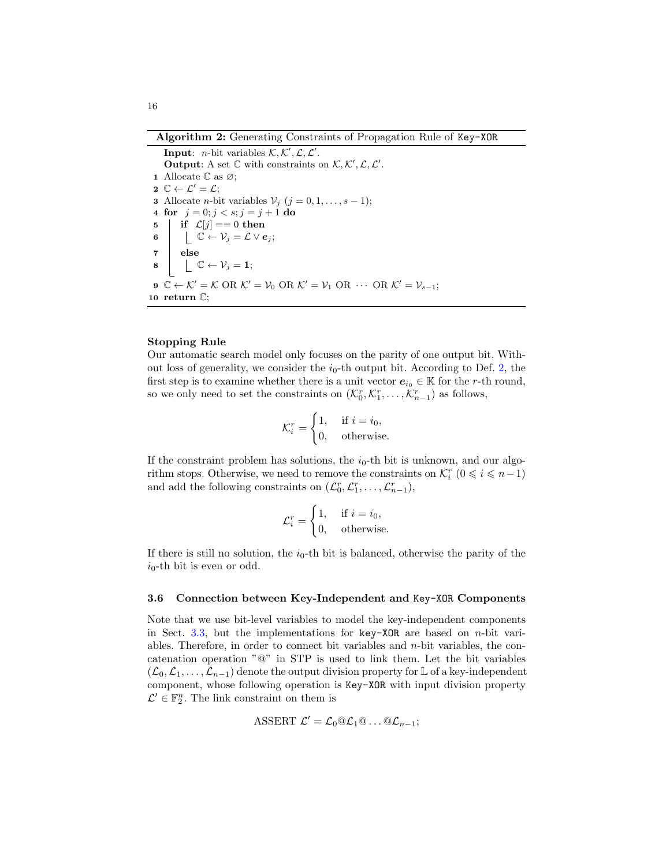Algorithm 2: Generating Constraints of Propagation Rule of Key-XOR

<span id="page-15-0"></span>Input: *n*-bit variables  $K, K', \mathcal{L}, \mathcal{L}'$ . Output: A set  $\mathbb C$  with constraints on  $\mathcal K, \mathcal K', \mathcal L, \mathcal L'.$ 1 Allocate  $\mathbb C$  as  $\varnothing$ ;  $2 \mathbb{C} \leftarrow \mathcal{L}' = \mathcal{L};$ 3 Allocate *n*-bit variables  $V_j$   $(j = 0, 1, \ldots, s - 1);$ 4 for  $j = 0; j < s; j = j + 1$  do 5 if  $\mathcal{L}[j] = 0$  then 6  $\bigcup \mathbb{C} \leftarrow \mathcal{V}_j = \mathcal{L} \vee e_j;$  $7 \vert$  else  $\begin{array}{c|c} \mathbf{8} & \begin{array}{|c} \hline \end{array} & \mathbb{C} \leftarrow \mathcal{V}_j = \mathbf{1}; \end{array}$ 9  $\mathbb{C} \leftarrow \mathcal{K}' = \mathcal{K}$  OR  $\mathcal{K}' = \mathcal{V}_0$  OR  $\mathcal{K}' = \mathcal{V}_1$  OR  $\cdots$  OR  $\mathcal{K}' = \mathcal{V}_{s-1}$ ; <sup>10</sup> return C;

### Stopping Rule

Our automatic search model only focuses on the parity of one output bit. Without loss of generality, we consider the  $i_0$ -th output bit. According to Def. [2,](#page-5-2) the first step is to examine whether there is a unit vector  $e_{i_0} \in \mathbb{K}$  for the r-th round, so we only need to set the constraints on  $(\mathcal{K}_0^r, \mathcal{K}_1^r, \ldots, \mathcal{K}_{n-1}^r)$  as follows,

$$
\mathcal{K}_i^r = \begin{cases} 1, & \text{if } i = i_0, \\ 0, & \text{otherwise.} \end{cases}
$$

If the constraint problem has solutions, the  $i_0$ -th bit is unknown, and our algorithm stops. Otherwise, we need to remove the constraints on  $\mathcal{K}_i^r$   $(0 \leq i \leq n-1)$ and add the following constraints on  $(\mathcal{L}_0^r, \mathcal{L}_1^r, \ldots, \mathcal{L}_{n-1}^r),$ 

$$
\mathcal{L}_i^r = \begin{cases} 1, & \text{if } i = i_0, \\ 0, & \text{otherwise.} \end{cases}
$$

If there is still no solution, the  $i_0$ -th bit is balanced, otherwise the parity of the  $i_0$ -th bit is even or odd.

#### 3.6 Connection between Key-Independent and Key-XOR Components

Note that we use bit-level variables to model the key-independent components in Sect. [3.3,](#page-11-0) but the implementations for key-XOR are based on  $n$ -bit variables. Therefore, in order to connect bit variables and  $n$ -bit variables, the concatenation operation "@" in STP is used to link them. Let the bit variables  $(\mathcal{L}_0,\mathcal{L}_1,\ldots,\mathcal{L}_{n-1})$  denote the output division property for L of a key-independent component, whose following operation is Key-XOR with input division property  $\mathcal{L}' \in \mathbb{F}_2^n$ . The link constraint on them is

$$
\text{ASSERT }\mathcal{L}'=\mathcal{L}_0@ \mathcal{L}_1@ \ldots @ \mathcal{L}_{n-1};
$$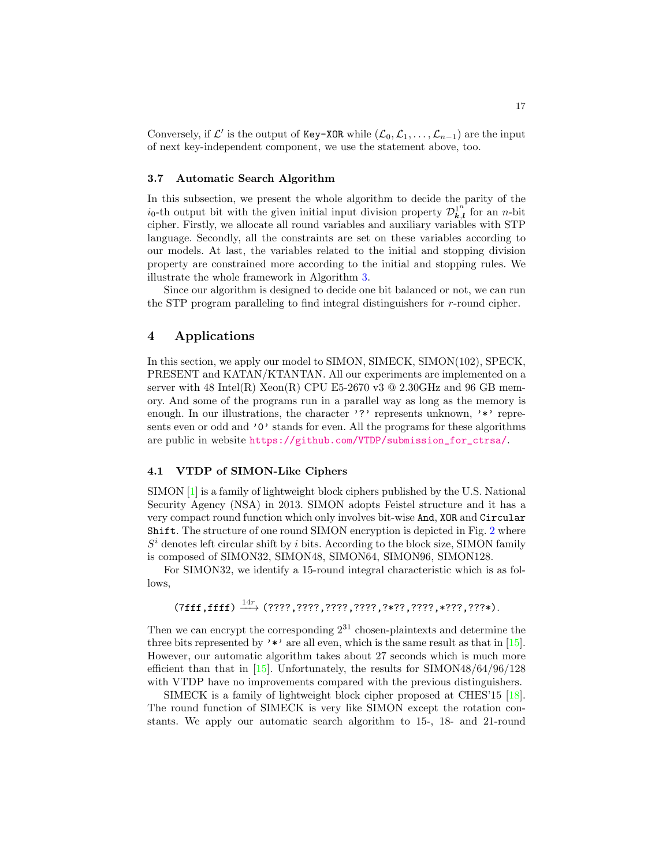Conversely, if  $\mathcal{L}'$  is the output of Key-XOR while  $(\mathcal{L}_0, \mathcal{L}_1, \ldots, \mathcal{L}_{n-1})$  are the input of next key-independent component, we use the statement above, too.

#### 3.7 Automatic Search Algorithm

In this subsection, we present the whole algorithm to decide the parity of the  $i_0$ -th output bit with the given initial input division property  $\mathcal{D}_{k,l}^{1^n}$  for an *n*-bit cipher. Firstly, we allocate all round variables and auxiliary variables with STP language. Secondly, all the constraints are set on these variables according to our models. At last, the variables related to the initial and stopping division property are constrained more according to the initial and stopping rules. We illustrate the whole framework in Algorithm [3.](#page-24-0)

Since our algorithm is designed to decide one bit balanced or not, we can run the STP program paralleling to find integral distinguishers for r-round cipher.

## <span id="page-16-0"></span>4 Applications

In this section, we apply our model to SIMON, SIMECK, SIMON(102), SPECK, PRESENT and KATAN/KTANTAN. All our experiments are implemented on a server with 48 Intel(R) Xeon(R) CPU E5-2670 v3  $@$  2.30GHz and 96 GB memory. And some of the programs run in a parallel way as long as the memory is enough. In our illustrations, the character '?' represents unknown, '\*' represents even or odd and '0' stands for even. All the programs for these algorithms are public in website [https://github.com/VTDP/submission\\_for\\_ctrsa/](https://github.com/VTDP/submission_for_ctrsa/).

#### <span id="page-16-1"></span>4.1 VTDP of SIMON-Like Ciphers

SIMON [\[1\]](#page-19-2) is a family of lightweight block ciphers published by the U.S. National Security Agency (NSA) in 2013. SIMON adopts Feistel structure and it has a very compact round function which only involves bit-wise And, XOR and Circular Shift. The structure of one round SIMON encryption is depicted in Fig. [2](#page-24-1) where  $S<sup>i</sup>$  denotes left circular shift by i bits. According to the block size, SIMON family is composed of SIMON32, SIMON48, SIMON64, SIMON96, SIMON128.

For SIMON32, we identify a 15-round integral characteristic which is as follows,

## $(7fff,fff) \stackrel{14r}{\longrightarrow} (????7,????7,????7,????7,?*??7,????7,**??7,????4).$

Then we can encrypt the corresponding  $2^{31}$  chosen-plaintexts and determine the three bits represented by '\*' are all even, which is the same result as that in  $[15]$ . However, our automatic algorithm takes about 27 seconds which is much more efficient than that in [\[15\]](#page-20-4). Unfortunately, the results for  $\text{SIMON48/64/96/128}$ with VTDP have no improvements compared with the previous distinguishers.

SIMECK is a family of lightweight block cipher proposed at CHES'15 [\[18\]](#page-20-10). The round function of SIMECK is very like SIMON except the rotation constants. We apply our automatic search algorithm to 15-, 18- and 21-round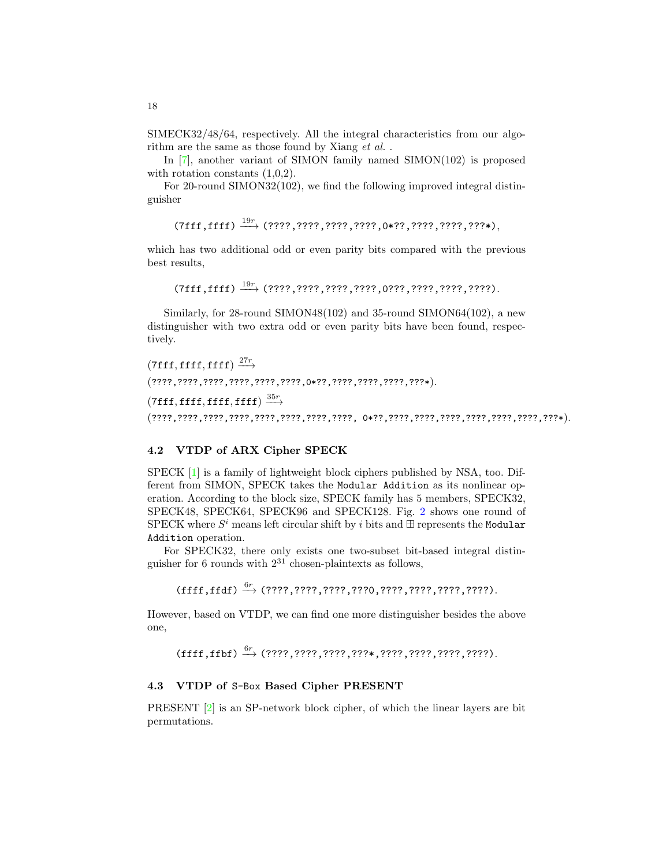SIMECK32/48/64, respectively. All the integral characteristics from our algorithm are the same as those found by Xiang *et al.*.

In [\[7\]](#page-20-11), another variant of SIMON family named SIMON(102) is proposed with rotation constants  $(1,0,2)$ .

For 20-round SIMON32(102), we find the following improved integral distinguisher

 $(7fff,fff) \stackrel{19r}{\longrightarrow} (????7,????7,????7,????7,0*??7,????7,????7,????*,$ 

which has two additional odd or even parity bits compared with the previous best results,

 $(7fff,fff) \xrightarrow{19r} (????,????,????,????,0????,????,????,????.$ 

Similarly, for 28-round SIMON48(102) and 35-round SIMON64(102), a new distinguisher with two extra odd or even parity bits have been found, respectively.

```
(7\texttt{ff},\texttt{fff},\texttt{fff}) \xrightarrow{27r}(????,????,????,????,????,????,0*??,????,????,????,???*).
(7{\tt ff}, {\tt ffff}, {\tt ffff}, {\tt ffff}) \stackrel{35r}{\longrightarrow}(????,????,????,????,????,????,????,????, 0*??,????,????,????,????,????,????,???*).
```
## <span id="page-17-0"></span>4.2 VTDP of ARX Cipher SPECK

SPECK [\[1\]](#page-19-2) is a family of lightweight block ciphers published by NSA, too. Different from SIMON, SPECK takes the Modular Addition as its nonlinear operation. According to the block size, SPECK family has 5 members, SPECK32, SPECK48, SPECK64, SPECK96 and SPECK128. Fig. [2](#page-24-1) shows one round of SPECK where  $S^i$  means left circular shift by i bits and  $\boxplus$  represents the Modular Addition operation.

For SPECK32, there only exists one two-subset bit-based integral distinguisher for 6 rounds with  $2^{31}$  chosen-plaintexts as follows,

(ffff,ffdf) <sup>6</sup><sup>r</sup> −→ (????,????,????,???0,????,????,????,????).

However, based on VTDP, we can find one more distinguisher besides the above one,

(ffff,ffbf) <sup>6</sup><sup>r</sup> −→ (????,????,????,???\*,????,????,????,????).

#### 4.3 VTDP of S-Box Based Cipher PRESENT

PRESENT [\[2\]](#page-19-5) is an SP-network block cipher, of which the linear layers are bit permutations.

18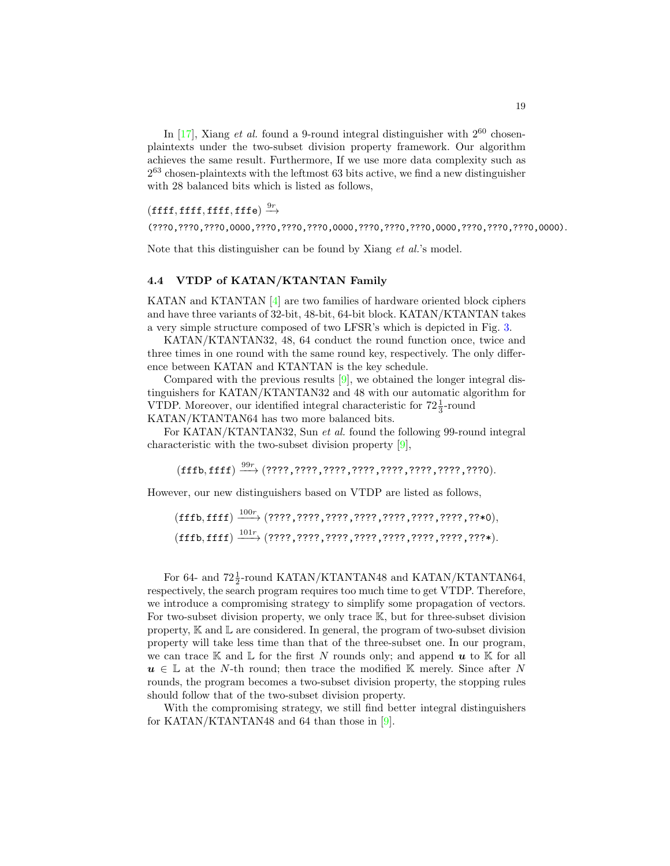In  $[17]$ , Xiang *et al.* found a 9-round integral distinguisher with  $2^{60}$  chosenplaintexts under the two-subset division property framework. Our algorithm achieves the same result. Furthermore, If we use more data complexity such as 2 <sup>63</sup> chosen-plaintexts with the leftmost 63 bits active, we find a new distinguisher with 28 balanced bits which is listed as follows,

## $(\operatorname{ffff}, \operatorname{ffff}, \operatorname{ffff}, \operatorname{fffe}) \stackrel{9r}{\longrightarrow}$

(???0,???0,???0,0000,???0,???0,???0,0000,???0,???0,???0,0000,???0,???0,???0,0000).

Note that this distinguisher can be found by Xiang *et al.*'s model.

#### <span id="page-18-0"></span>4.4 VTDP of KATAN/KTANTAN Family

KATAN and KTANTAN [\[4\]](#page-19-3) are two families of hardware oriented block ciphers and have three variants of 32-bit, 48-bit, 64-bit block. KATAN/KTANTAN takes a very simple structure composed of two LFSR's which is depicted in Fig. [3.](#page-25-0)

KATAN/KTANTAN32, 48, 64 conduct the round function once, twice and three times in one round with the same round key, respectively. The only difference between KATAN and KTANTAN is the key schedule.

Compared with the previous results [\[9\]](#page-20-6), we obtained the longer integral distinguishers for KATAN/KTANTAN32 and 48 with our automatic algorithm for VTDP. Moreover, our identified integral characteristic for  $72\frac{1}{3}$ -round KATAN/KTANTAN64 has two more balanced bits.

For KATAN/KTANTAN32, Sun et al. found the following 99-round integral characteristic with the two-subset division property [\[9\]](#page-20-6),

 $(\mathrm{fffb},\mathrm{fff}) \xrightarrow{99r} (????,????7,????7,????7,????7,????77,????7,????$ 

However, our new distinguishers based on VTDP are listed as follows,

(fffb, ffff) <sup>100</sup><sup>r</sup> −−−→ (????,????,????,????,????,????,????,??\*0), (fffb, ffff) <sup>101</sup><sup>r</sup> −−−→ (????,????,????,????,????,????,????,???\*).

For 64- and  $72\frac{1}{2}$ -round KATAN/KTANTAN48 and KATAN/KTANTAN64, respectively, the search program requires too much time to get VTDP. Therefore, we introduce a compromising strategy to simplify some propagation of vectors. For two-subset division property, we only trace K, but for three-subset division property,  $\mathbb K$  and  $\mathbb L$  are considered. In general, the program of two-subset division property will take less time than that of the three-subset one. In our program, we can trace  $\mathbb K$  and  $\mathbb L$  for the first N rounds only; and append  $\boldsymbol{u}$  to  $\mathbb K$  for all  $u \in \mathbb{L}$  at the N-th round; then trace the modified K merely. Since after N rounds, the program becomes a two-subset division property, the stopping rules should follow that of the two-subset division property.

With the compromising strategy, we still find better integral distinguishers for KATAN/KTANTAN48 and 64 than those in [\[9\]](#page-20-6).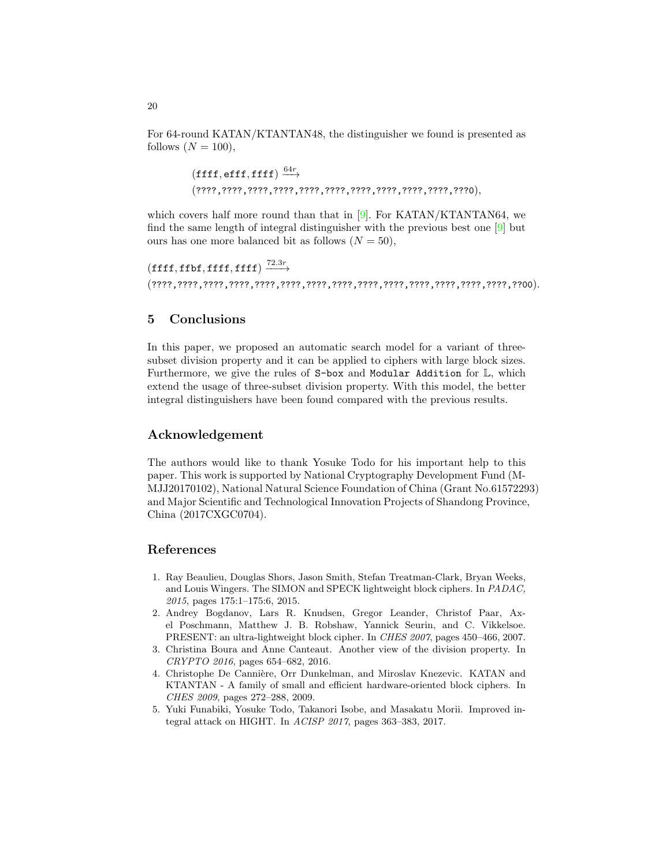For 64-round KATAN/KTANTAN48, the distinguisher we found is presented as follows  $(N = 100)$ ,

> $(\tt{fff}, \tt{eff}, \tt{fff}) \xrightarrow{64r}$ (????,????,????,????,????,????,????,????,????,????,???0),

which covers half more round than that in  $[9]$ . For KATAN/KTANTAN64, we find the same length of integral distinguisher with the previous best one [\[9\]](#page-20-6) but ours has one more balanced bit as follows  $(N = 50)$ ,

```
(\mathtt{ffff}, \mathtt{ffbf}, \mathtt{ffff}, \mathtt{ffff}) \xrightarrow{72.3r}(????,????,????,????,????,????,????,????,????,????,????,????,????,????,??00).
```
## <span id="page-19-4"></span>5 Conclusions

In this paper, we proposed an automatic search model for a variant of threesubset division property and it can be applied to ciphers with large block sizes. Furthermore, we give the rules of S-box and Modular Addition for L, which extend the usage of three-subset division property. With this model, the better integral distinguishers have been found compared with the previous results.

## Acknowledgement

The authors would like to thank Yosuke Todo for his important help to this paper. This work is supported by National Cryptography Development Fund (M-MJJ20170102), National Natural Science Foundation of China (Grant No.61572293) and Major Scientific and Technological Innovation Projects of Shandong Province, China (2017CXGC0704).

## References

- <span id="page-19-2"></span>1. Ray Beaulieu, Douglas Shors, Jason Smith, Stefan Treatman-Clark, Bryan Weeks, and Louis Wingers. The SIMON and SPECK lightweight block ciphers. In PADAC, 2015, pages 175:1–175:6, 2015.
- <span id="page-19-5"></span>2. Andrey Bogdanov, Lars R. Knudsen, Gregor Leander, Christof Paar, Axel Poschmann, Matthew J. B. Robshaw, Yannick Seurin, and C. Vikkelsoe. PRESENT: an ultra-lightweight block cipher. In CHES 2007, pages 450–466, 2007.
- <span id="page-19-0"></span>3. Christina Boura and Anne Canteaut. Another view of the division property. In CRYPTO 2016, pages 654–682, 2016.
- <span id="page-19-3"></span>4. Christophe De Cannière, Orr Dunkelman, and Miroslav Knezevic. KATAN and KTANTAN - A family of small and efficient hardware-oriented block ciphers. In CHES 2009, pages 272–288, 2009.
- <span id="page-19-1"></span>5. Yuki Funabiki, Yosuke Todo, Takanori Isobe, and Masakatu Morii. Improved integral attack on HIGHT. In ACISP 2017, pages 363–383, 2017.

20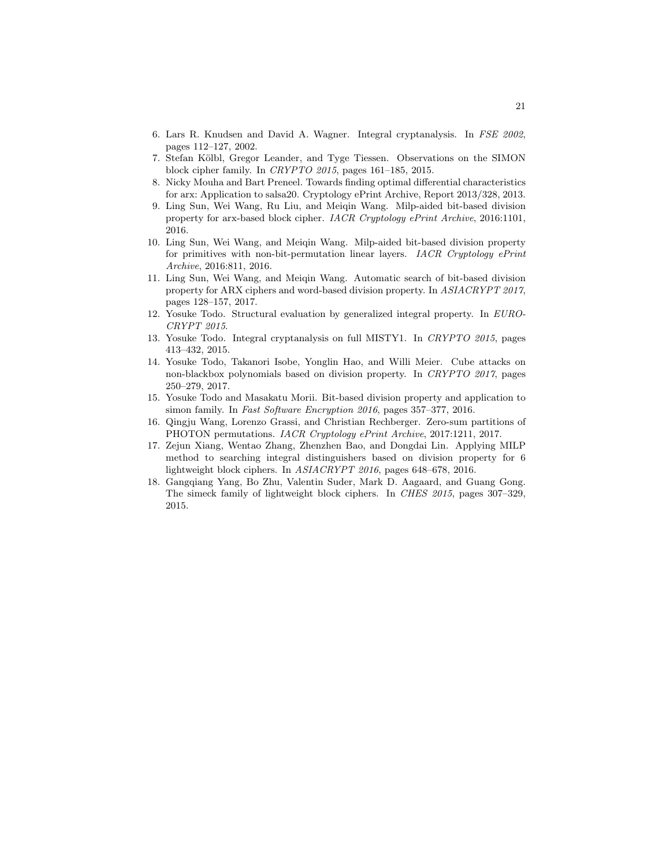- <span id="page-20-0"></span>6. Lars R. Knudsen and David A. Wagner. Integral cryptanalysis. In FSE 2002, pages 112–127, 2002.
- <span id="page-20-11"></span>7. Stefan Kölbl, Gregor Leander, and Tyge Tiessen. Observations on the SIMON block cipher family. In CRYPTO 2015, pages 161–185, 2015.
- <span id="page-20-12"></span>8. Nicky Mouha and Bart Preneel. Towards finding optimal differential characteristics for arx: Application to salsa20. Cryptology ePrint Archive, Report 2013/328, 2013.
- <span id="page-20-6"></span>9. Ling Sun, Wei Wang, Ru Liu, and Meiqin Wang. Milp-aided bit-based division property for arx-based block cipher. IACR Cryptology ePrint Archive, 2016:1101, 2016.
- <span id="page-20-7"></span>10. Ling Sun, Wei Wang, and Meiqin Wang. Milp-aided bit-based division property for primitives with non-bit-permutation linear layers. IACR Cryptology ePrint Archive, 2016:811, 2016.
- <span id="page-20-9"></span>11. Ling Sun, Wei Wang, and Meiqin Wang. Automatic search of bit-based division property for ARX ciphers and word-based division property. In ASIACRYPT 2017, pages 128–157, 2017.
- <span id="page-20-1"></span>12. Yosuke Todo. Structural evaluation by generalized integral property. In EURO-CRYPT 2015.
- <span id="page-20-2"></span>13. Yosuke Todo. Integral cryptanalysis on full MISTY1. In CRYPTO 2015, pages 413–432, 2015.
- <span id="page-20-3"></span>14. Yosuke Todo, Takanori Isobe, Yonglin Hao, and Willi Meier. Cube attacks on non-blackbox polynomials based on division property. In CRYPTO 2017, pages 250–279, 2017.
- <span id="page-20-4"></span>15. Yosuke Todo and Masakatu Morii. Bit-based division property and application to simon family. In Fast Software Encryption 2016, pages 357–377, 2016.
- <span id="page-20-8"></span>16. Qingju Wang, Lorenzo Grassi, and Christian Rechberger. Zero-sum partitions of PHOTON permutations. IACR Cryptology ePrint Archive, 2017:1211, 2017.
- <span id="page-20-5"></span>17. Zejun Xiang, Wentao Zhang, Zhenzhen Bao, and Dongdai Lin. Applying MILP method to searching integral distinguishers based on division property for 6 lightweight block ciphers. In ASIACRYPT 2016, pages 648–678, 2016.
- <span id="page-20-10"></span>18. Gangqiang Yang, Bo Zhu, Valentin Suder, Mark D. Aagaard, and Guang Gong. The simeck family of lightweight block ciphers. In CHES 2015, pages 307–329, 2015.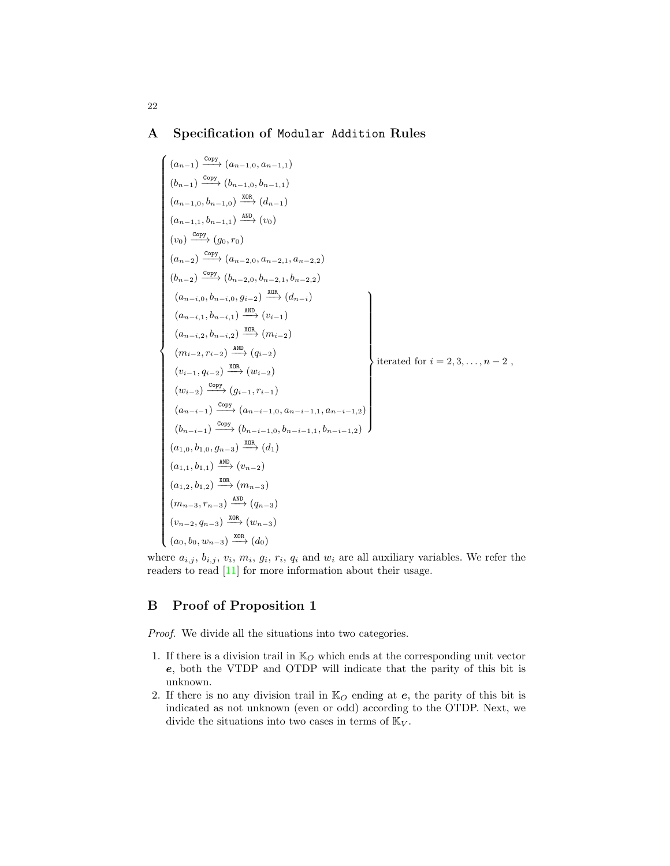## <span id="page-21-0"></span>A Specification of Modular Addition Rules

$$
\begin{pmatrix}\n(a_{n-1}) \frac{\text{copy}}{\text{copy}} (a_{n-1,0}, a_{n-1,1}) \\
(b_{n-1}) \frac{\text{copy}}{\text{copy}} (b_{n-1,0}, b_{n-1,1}) \\
(a_{n-1,0}, b_{n-1,0}) \frac{\text{amb}}{\text{amp}} (d_{n-1}) \\
(a_{n-1,1}, b_{n-1,1}) \frac{\text{amb}}{\text{amp}} (v_0) \\
(v_0) \frac{\text{copy}}{\text{opy}} (g_0, r_0) \\
(a_{n-2}) \frac{\text{copy}}{\text{opy}} (a_{n-2,0}, a_{n-2,1}, a_{n-2,2}) \\
(b_{n-2}) \frac{\text{copy}}{\text{opp}} (b_{n-2,0}, b_{n-2,1}, b_{n-2,2}) \\
(a_{n-i,0}, b_{n-i,0}, g_{i-2}) \frac{\text{amb}}{\text{map}} (d_{n-i}) \\
(a_{n-i,1}, b_{n-i,1}) \frac{\text{amb}}{\text{amp}} (v_{i-1}) \\
(a_{n-i,2}, b_{n-i,2}) \frac{\text{amb}}{\text{amp}} (m_{i-2}) \\
(m_{i-2}, r_{i-2}) \frac{\text{amb}}{\text{amp}} (m_{i-2}) \\
(v_{i-1}, q_{i-2}) \frac{\text{amb}}{\text{map}} (u_{i-2}) \\
(v_{i-1}, q_{i-2}) \frac{\text{comp}}{\text{map}} (a_{n-i-1,0}, a_{n-i-1,1}, a_{n-i-1,2}) \\
(b_{n-i-1}) \frac{\text{copy}}{\text{comp}} (a_{n-i-1,0}, b_{n-i-1,1}, b_{n-i-1,2}) \\
(a_{1,0}, b_{1,0}, g_{n-3}) \frac{\text{xon}}{\text{map}} (d_1) \\
(a_{1,1}, b_{1,1}) \frac{\text{amb}}{\text{map}} (v_{n-2}) \\
(a_{1,2}, b_{1,2}) \frac{\text{am}}{\text{map}} (m_{n-3}) \\
(m_{n-3}, r_{n-3}) \frac{\text{xon}}{\text{map}} (m_{n-3}) \\
(v_n - 2, q_{n-3}) \frac{\text{XBR}}{\text{map}} (d_0) \\
(a_0, b_0, w_{n-3}) \frac{\text{XBR}}{\text{map}} (d_0) \\
\end{pmatrix}
$$

where  $a_{i,j}, b_{i,j}, v_i, m_i, g_i, r_i, q_i$  and  $w_i$  are all auxiliary variables. We refer the readers to read [\[11\]](#page-20-9) for more information about their usage.

## <span id="page-21-1"></span>B Proof of Proposition 1

Proof. We divide all the situations into two categories.

- 1. If there is a division trail in  $\mathbb{K}_O$  which ends at the corresponding unit vector e, both the VTDP and OTDP will indicate that the parity of this bit is unknown.
- 2. If there is no any division trail in  $\mathbb{K}_O$  ending at  $e$ , the parity of this bit is indicated as not unknown (even or odd) according to the OTDP. Next, we divide the situations into two cases in terms of  $\mathbb{K}_V$ .

22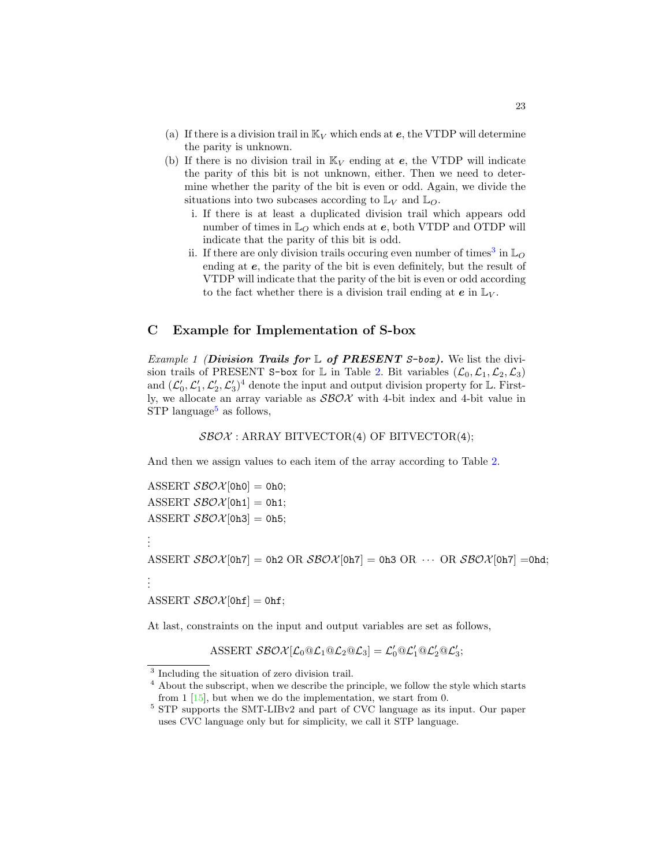- (a) If there is a division trail in  $\mathbb{K}_V$  which ends at  $e$ , the VTDP will determine the parity is unknown.
- (b) If there is no division trail in  $\mathbb{K}_V$  ending at e, the VTDP will indicate the parity of this bit is not unknown, either. Then we need to determine whether the parity of the bit is even or odd. Again, we divide the situations into two subcases according to  $\mathbb{L}_V$  and  $\mathbb{L}_O$ .
	- i. If there is at least a duplicated division trail which appears odd number of times in  $\mathbb{L}_O$  which ends at e, both VTDP and OTDP will indicate that the parity of this bit is odd.
	- ii. If there are only division trails occuring even number of times<sup>[3](#page-22-1)</sup> in  $\mathbb{L}_O$ ending at e, the parity of the bit is even definitely, but the result of VTDP will indicate that the parity of the bit is even or odd according to the fact whether there is a division trail ending at  $e$  in  $\mathbb{L}_V$ .

## <span id="page-22-0"></span>C Example for Implementation of S-box

*Example 1 (Division Trails for*  $\mathbb{L}$  *of PRESENT S-box)*. We list the divi-sion trails of PRESENT S-box for L in Table [2.](#page-23-0) Bit variables  $(\mathcal{L}_0, \mathcal{L}_1, \mathcal{L}_2, \mathcal{L}_3)$ and  $(\mathcal{L}'_0, \mathcal{L}'_1, \mathcal{L}'_2, \mathcal{L}'_3)^4$  $(\mathcal{L}'_0, \mathcal{L}'_1, \mathcal{L}'_2, \mathcal{L}'_3)^4$  denote the input and output division property for L. Firstly, we allocate an array variable as  $\mathcal{SBOX}$  with 4-bit index and 4-bit value in  $STP$  language<sup>[5](#page-22-3)</sup> as follows,

#### $SBOX: ARRAY$  BITVECTOR(4) OF BITVECTOR(4);

And then we assign values to each item of the array according to Table [2.](#page-23-0)

ASSERT  $\mathcal{SBOX}[\text{0h0}] = 0h0;$ ASSERT  $\mathcal{SBOX}[\text{Oh1}] = \text{Oh1};$ ASSERT  $\mathcal{SBOX}[\text{Oh3}] = \text{Oh5};$ 

. . .

. . .

```
ASSERT \mathcal{SBOX}[\text{Oh7}] = \text{Oh2 OR } \mathcal{SBOX}[\text{Oh7}] = \text{Oh3 OR } \cdots \text{ OR } \mathcal{SBOX}[\text{Oh7}] = \text{Ohd};
```
ASSERT  $\mathcal{SBOX}[\text{Ohf}] = \text{Ohf};$ 

At last, constraints on the input and output variables are set as follows,

ASSERT  $\mathcal{SBOX}[\mathcal{L}_0@ \mathcal{L}_1@ \mathcal{L}_2@ \mathcal{L}_3] = \mathcal{L}_0'@ \mathcal{L}_1'@ \mathcal{L}_2'@ \mathcal{L}_3';$ 

<span id="page-22-1"></span><sup>&</sup>lt;sup>3</sup> Including the situation of zero division trail.

<span id="page-22-2"></span><sup>&</sup>lt;sup>4</sup> About the subscript, when we describe the principle, we follow the style which starts from 1 [\[15\]](#page-20-4), but when we do the implementation, we start from 0.

<span id="page-22-3"></span><sup>5</sup> STP supports the SMT-LIBv2 and part of CVC language as its input. Our paper uses CVC language only but for simplicity, we call it STP language.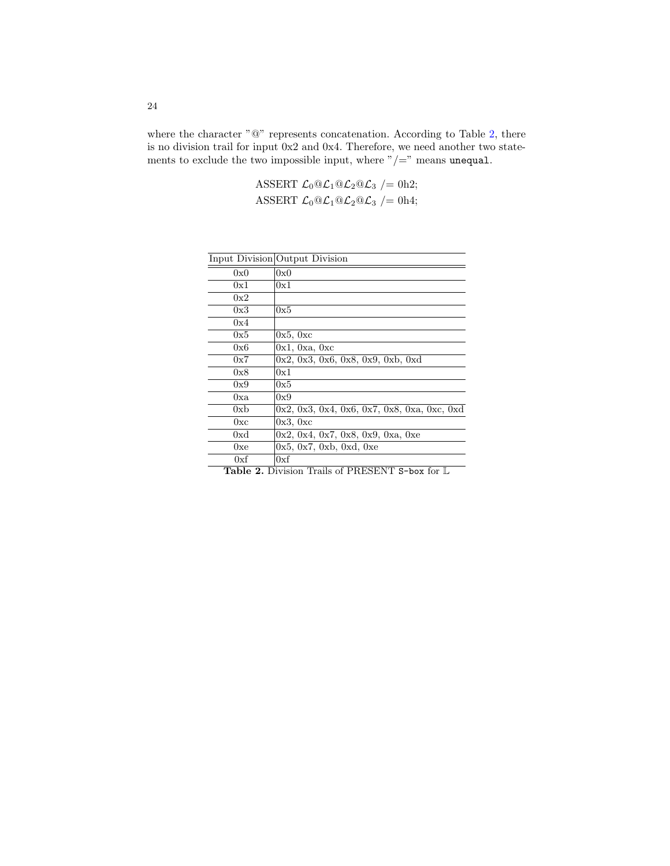where the character " $@$ " represents concatenation. According to Table [2,](#page-23-0) there is no division trail for input 0x2 and 0x4. Therefore, we need another two statements to exclude the two impossible input, where " $/$ =" means unequal.

> ASSERT  $\mathcal{L}_0 @ \mathcal{L}_1 @ \mathcal{L}_2 @ \mathcal{L}_3 = 0 h2;$ ASSERT  $\mathcal{L}_0 @ \mathcal{L}_1 @ \mathcal{L}_2 @ \mathcal{L}_3 = 0 \mathbf{h}4;$

|                 | Input Division Output Division                |
|-----------------|-----------------------------------------------|
| 0x0             | 0x0                                           |
| 0x1             | 0x1                                           |
| 0x2             |                                               |
| 0x3             | 0x5                                           |
| 0x4             |                                               |
| 0x5             | 0x5, 0xc                                      |
| 0x6             | 0x1, 0xa, 0xc                                 |
| 0x7             | 0x2, 0x3, 0x6, 0x8, 0x9, 0xb, 0xd             |
| 0x8             | 0x1                                           |
| 0x9             | 0x5                                           |
| 0xa             | 0x9                                           |
| 0x <sub>b</sub> | $0x2, 0x3, 0x4, 0x6, 0x7, 0x8, 0xa, 0xc, 0xd$ |
| 0xc             | 0x3, 0xc                                      |
| 0xd             | 0x2, 0x4, 0x7, 0x8, 0x9, 0xa, 0xe             |
| 0xe             | 0x5, 0x7, 0xb, 0xd, 0xe                       |
| 0xf             | 0xf                                           |

<span id="page-23-0"></span>Table 2. Division Trails of PRESENT S-box for L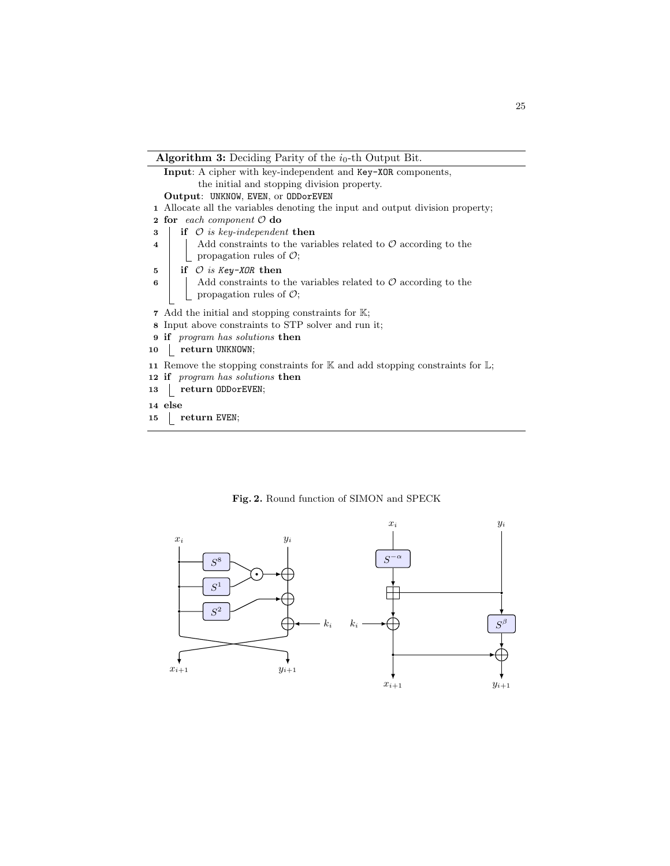<span id="page-24-0"></span>

<span id="page-24-1"></span>Fig. 2. Round function of SIMON and SPECK